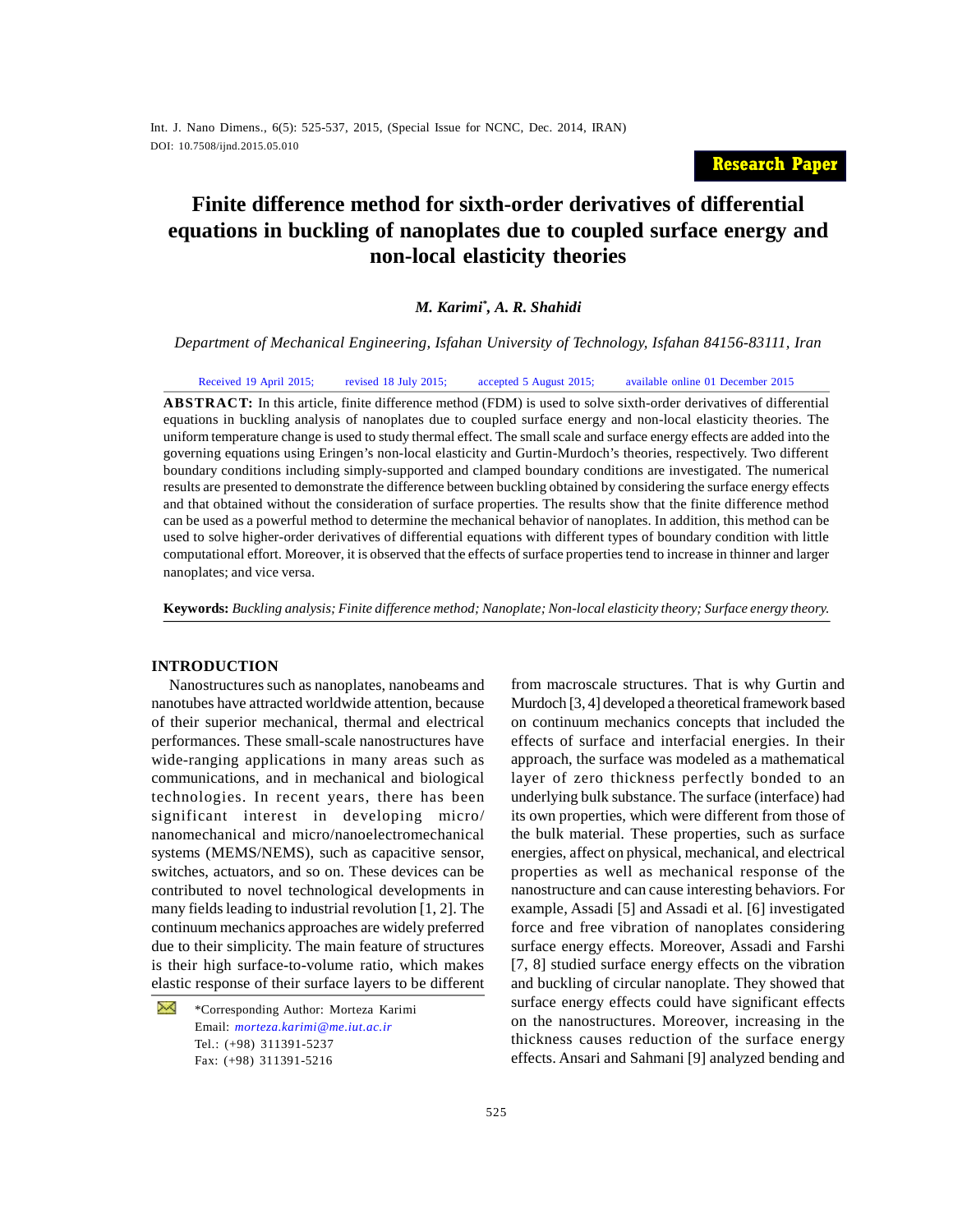## **Research Paper**

# **Finite difference method for sixth-order derivatives of differential equations in buckling of nanoplates due to coupled surface energy and non-local elasticity theories**

## *M. Karimi\* , A. R. Shahidi*

*Department of Mechanical Engineering, Isfahan University of Technology, Isfahan 84156-83111, Iran*

Received 19 April 2015; revised 18 July 2015; accepted 5 August 2015; available online 01 December 2015

**ABSTRACT:** In this article, finite difference method (FDM) is used to solve sixth-order derivatives of differential equations in buckling analysis of nanoplates due to coupled surface energy and non-local elasticity theories. The uniform temperature change is used to study thermal effect. The small scale and surface energy effects are added into the governing equations using Eringen's non-local elasticity and Gurtin-Murdoch's theories, respectively. Two different boundary conditions including simply-supported and clamped boundary conditions are investigated. The numerical results are presented to demonstrate the difference between buckling obtained by considering the surface energy effects and that obtained without the consideration of surface properties. The results show that the finite difference method can be used as a powerful method to determine the mechanical behavior of nanoplates. In addition, this method can be used to solve higher-order derivatives of differential equations with different types of boundary condition with little computational effort. Moreover, it is observed that the effects of surface properties tend to increase in thinner and larger nanoplates; and vice versa.

**Keywords:** *Buckling analysis; Finite difference method; Nanoplate; Non-local elasticity theory; Surface energy theory.*

## **INTRODUCTION**

Nanostructures such as nanoplates, nanobeams and nanotubes have attracted worldwide attention, because of their superior mechanical, thermal and electrical performances. These small-scale nanostructures have wide-ranging applications in many areas such as communications, and in mechanical and biological technologies. In recent years, there has been significant interest in developing micro/ nanomechanical and micro/nanoelectromechanical systems (MEMS/NEMS), such as capacitive sensor, switches, actuators, and so on. These devices can be contributed to novel technological developments in many fields leading to industrial revolution [1, 2]. The continuum mechanics approaches are widely preferred due to their simplicity. The main feature of structures is their high surface-to-volume ratio, which makes elastic response of their surface layers to be different

₩ \*Corresponding Author: Morteza Karimi Email: *morteza.karimi@me.iut.ac.ir* Tel.: (+98) 311391-5237 Fax: (+98) 311391-5216

from macroscale structures. That is why Gurtin and Murdoch [3, 4] developed a theoretical framework based on continuum mechanics concepts that included the effects of surface and interfacial energies. In their approach, the surface was modeled as a mathematical layer of zero thickness perfectly bonded to an underlying bulk substance. The surface (interface) had its own properties, which were different from those of the bulk material. These properties, such as surface energies, affect on physical, mechanical, and electrical properties as well as mechanical response of the nanostructure and can cause interesting behaviors. For example, Assadi [5] and Assadi et al. [6] investigated force and free vibration of nanoplates considering surface energy effects. Moreover, Assadi and Farshi [7, 8] studied surface energy effects on the vibration and buckling of circular nanoplate. They showed that surface energy effects could have significant effects on the nanostructures. Moreover, increasing in the thickness causes reduction of the surface energy effects. Ansari and Sahmani [9] analyzed bending and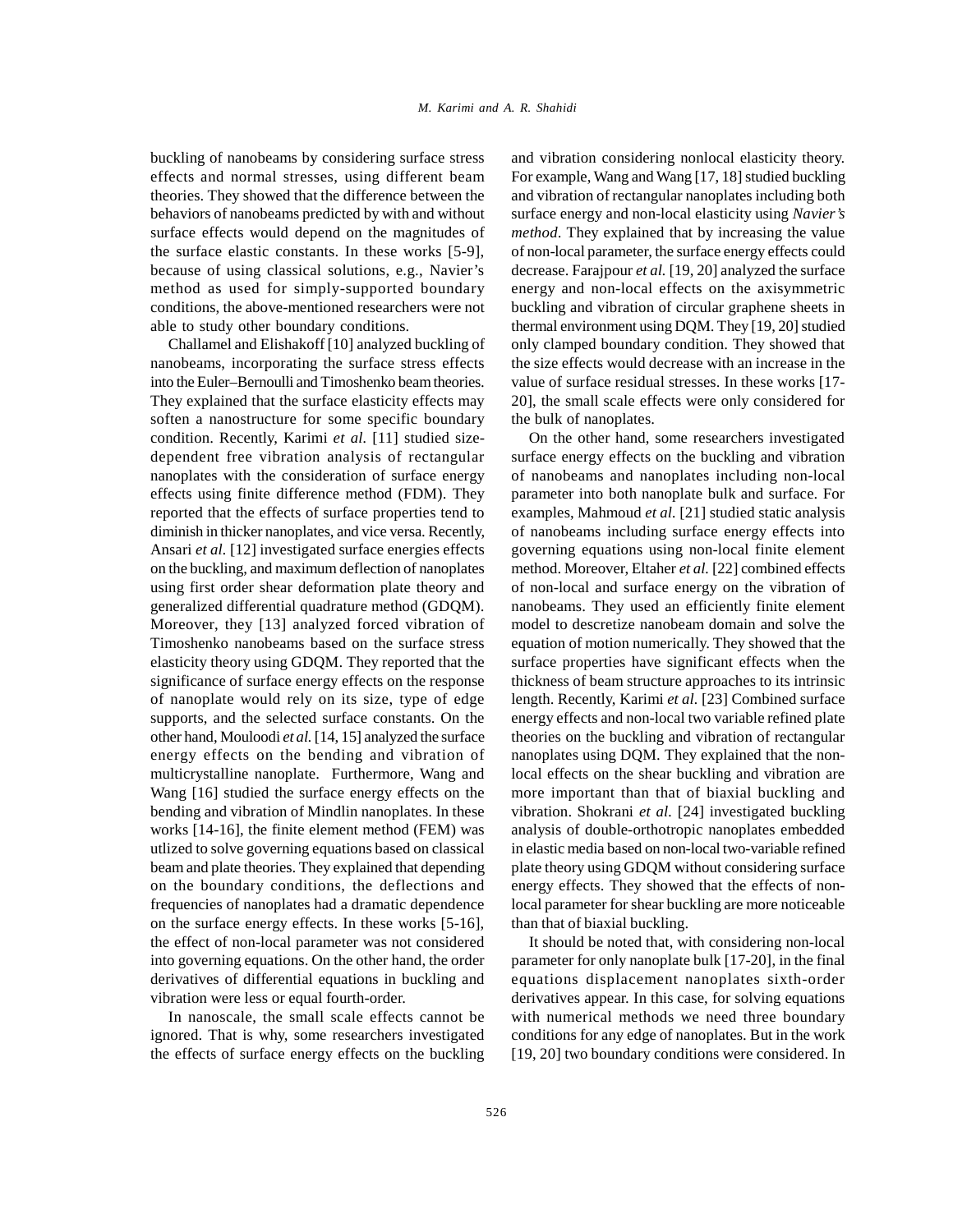buckling of nanobeams by considering surface stress effects and normal stresses, using different beam theories. They showed that the difference between the behaviors of nanobeams predicted by with and without surface effects would depend on the magnitudes of the surface elastic constants. In these works [5-9], because of using classical solutions, e.g., Navier's method as used for simply-supported boundary conditions, the above-mentioned researchers were not able to study other boundary conditions.

Challamel and Elishakoff [10] analyzed buckling of nanobeams, incorporating the surface stress effects into the Euler–Bernoulli and Timoshenko beam theories. They explained that the surface elasticity effects may soften a nanostructure for some specific boundary condition. Recently, Karimi *et al.* [11] studied sizedependent free vibration analysis of rectangular nanoplates with the consideration of surface energy effects using finite difference method (FDM). They reported that the effects of surface properties tend to diminish in thicker nanoplates, and vice versa. Recently, Ansari *et al.* [12] investigated surface energies effects on the buckling, and maximum deflection of nanoplates using first order shear deformation plate theory and generalized differential quadrature method (GDQM). Moreover, they [13] analyzed forced vibration of Timoshenko nanobeams based on the surface stress elasticity theory using GDQM. They reported that the significance of surface energy effects on the response of nanoplate would rely on its size, type of edge supports, and the selected surface constants. On the other hand, Mouloodi *et al.* [14, 15] analyzed the surface energy effects on the bending and vibration of multicrystalline nanoplate. Furthermore, Wang and Wang [16] studied the surface energy effects on the bending and vibration of Mindlin nanoplates. In these works [14-16], the finite element method (FEM) was utlized to solve governing equations based on classical beam and plate theories. They explained that depending on the boundary conditions, the deflections and frequencies of nanoplates had a dramatic dependence on the surface energy effects. In these works [5-16], the effect of non-local parameter was not considered into governing equations. On the other hand, the order derivatives of differential equations in buckling and vibration were less or equal fourth-order.

In nanoscale, the small scale effects cannot be ignored. That is why, some researchers investigated the effects of surface energy effects on the buckling and vibration considering nonlocal elasticity theory. For example, Wang and Wang [17, 18] studied buckling and vibration of rectangular nanoplates including both surface energy and non-local elasticity using *Navier's method*. They explained that by increasing the value of non-local parameter, the surface energy effects could decrease. Farajpour *et al.* [19, 20] analyzed the surface energy and non-local effects on the axisymmetric buckling and vibration of circular graphene sheets in thermal environment using DQM. They [19, 20] studied only clamped boundary condition. They showed that the size effects would decrease with an increase in the value of surface residual stresses. In these works [17- 20], the small scale effects were only considered for the bulk of nanoplates.

On the other hand, some researchers investigated surface energy effects on the buckling and vibration of nanobeams and nanoplates including non-local parameter into both nanoplate bulk and surface. For examples, Mahmoud *et al.* [21] studied static analysis of nanobeams including surface energy effects into governing equations using non-local finite element method. Moreover, Eltaher *et al.* [22] combined effects of non-local and surface energy on the vibration of nanobeams. They used an efficiently finite element model to descretize nanobeam domain and solve the equation of motion numerically. They showed that the surface properties have significant effects when the thickness of beam structure approaches to its intrinsic length. Recently, Karimi *et al.* [23] Combined surface energy effects and non-local two variable refined plate theories on the buckling and vibration of rectangular nanoplates using DQM. They explained that the nonlocal effects on the shear buckling and vibration are more important than that of biaxial buckling and vibration. Shokrani *et al.* [24] investigated buckling analysis of double-orthotropic nanoplates embedded in elastic media based on non-local two-variable refined plate theory using GDQM without considering surface energy effects. They showed that the effects of nonlocal parameter for shear buckling are more noticeable than that of biaxial buckling.

It should be noted that, with considering non-local parameter for only nanoplate bulk [17-20], in the final equations displacement nanoplates sixth-order derivatives appear. In this case, for solving equations with numerical methods we need three boundary conditions for any edge of nanoplates. But in the work [19, 20] two boundary conditions were considered. In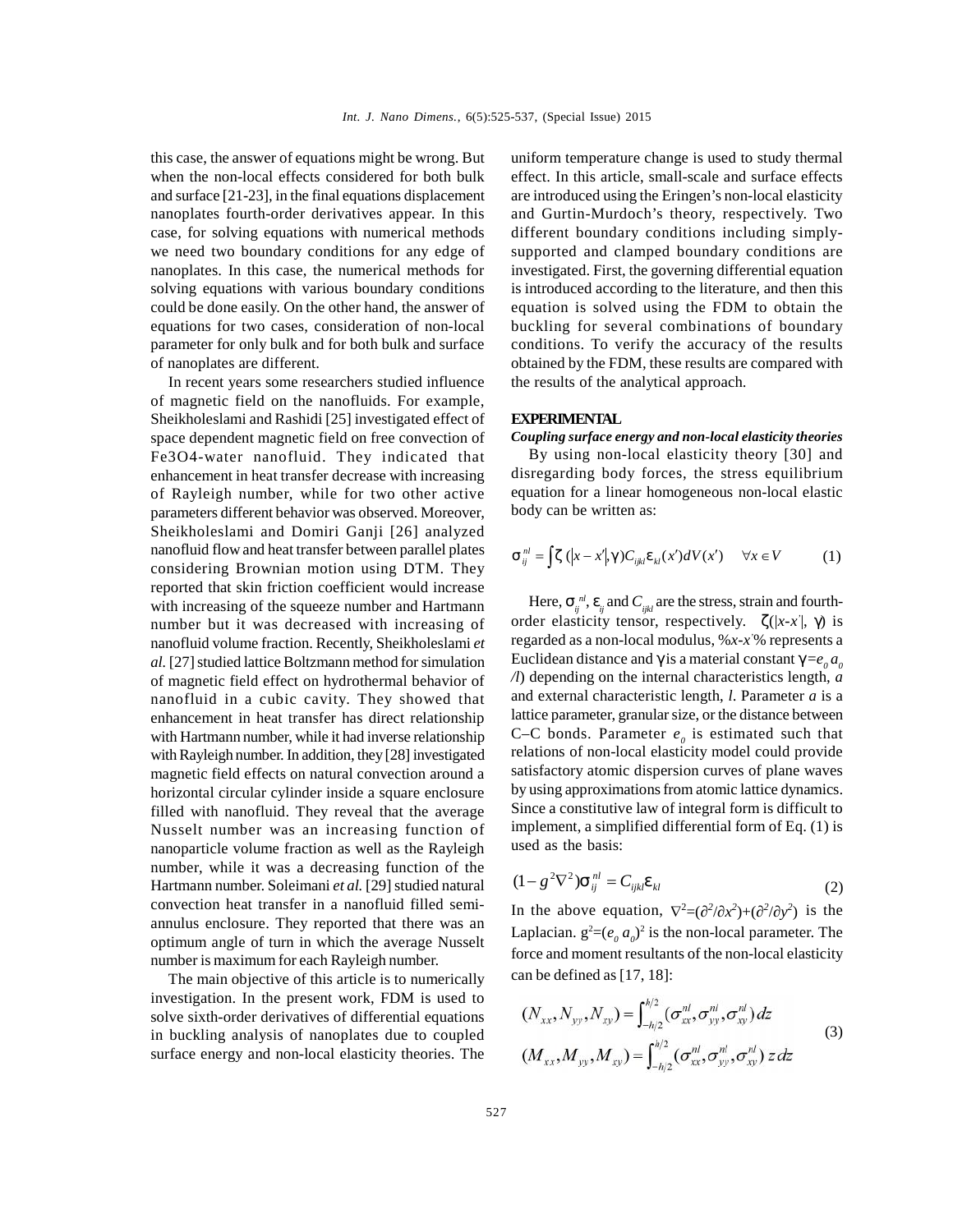this case, the answer of equations might be wrong. But when the non-local effects considered for both bulk and surface [21-23], in the final equations displacement nanoplates fourth-order derivatives appear. In this case, for solving equations with numerical methods we need two boundary conditions for any edge of nanoplates. In this case, the numerical methods for solving equations with various boundary conditions could be done easily. On the other hand, the answer of equations for two cases, consideration of non-local parameter for only bulk and for both bulk and surface of nanoplates are different.

In recent years some researchers studied influence of magnetic field on the nanofluids. For example, Sheikholeslami and Rashidi [25] investigated effect of space dependent magnetic field on free convection of Fe3O4-water nanofluid. They indicated that enhancement in heat transfer decrease with increasing of Rayleigh number, while for two other active parameters different behavior was observed. Moreover, Sheikholeslami and Domiri Ganji [26] analyzed nanofluid flow and heat transfer between parallel plates considering Brownian motion using DTM. They reported that skin friction coefficient would increase with increasing of the squeeze number and Hartmann number but it was decreased with increasing of nanofluid volume fraction. Recently, Sheikholeslami *et al.* [27] studied lattice Boltzmann method for simulation of magnetic field effect on hydrothermal behavior of nanofluid in a cubic cavity. They showed that enhancement in heat transfer has direct relationship with Hartmann number, while it had inverse relationship with Rayleigh number. In addition, they [28] investigated magnetic field effects on natural convection around a horizontal circular cylinder inside a square enclosure filled with nanofluid. They reveal that the average Nusselt number was an increasing function of nanoparticle volume fraction as well as the Rayleigh number, while it was a decreasing function of the<br>Hartmann number Soleimani et al. [29] studied natural Hartmann number. Soleimani *et al.* [29] studied natural convection heat transfer in a nanofluid filled semiannulus enclosure. They reported that there was an optimum angle of turn in which the average Nusselt number is maximum for each Rayleigh number.

The main objective of this article is to numerically investigation. In the present work, FDM is used to solve sixth-order derivatives of differential equations in buckling analysis of nanoplates due to coupled surface energy and non-local elasticity theories. The

uniform temperature change is used to study thermal effect. In this article, small-scale and surface effects are introduced using the Eringen's non-local elasticity and Gurtin-Murdoch's theory, respectively. Two different boundary conditions including simplysupported and clamped boundary conditions are investigated. First, the governing differential equation is introduced according to the literature, and then this equation is solved using the FDM to obtain the buckling for several combinations of boundary conditions. To verify the accuracy of the results obtained by the FDM, these results are compared with the results of the analytical approach.

## **EXPERIMENTAL**

*Coupling surface energy and non-local elasticity theories*

By using non-local elasticity theory [30] and disregarding body forces, the stress equilibrium equation for a linear homogeneous non-local elastic body can be written as:

$$
\uparrow_{ij}^{nl} = \int' (x - x'|, x) C_{ijkl} V_{kl}(x') dV(x') \quad \forall x \in V \tag{1}
$$

Here,  $\dagger_{ij}^{\phantom{ij}nl}$ ,  $\vee_{ij}$  and  $C_{ijkl}$  are the stress, strain and fourthorder elasticity tensor, respectively.  $'(|x-x|, x)$  is regarded as a non-local modulus, %*x-x'*% represents a Euclidean distance and x is a material constant  $x = e_0 a_0$ */l*) depending on the internal characteristics length, *a* and external characteristic length, *l*. Parameter *a* is a lattice parameter, granular size, or the distance between C–C bonds. Parameter  $e_{\theta}$  is estimated such that relations of non-local elasticity model could provide satisfactory atomic dispersion curves of plane waves by using approximations from atomic lattice dynamics. Since a constitutive law of integral form is difficult to implement, a simplified differential form of Eq. (1) is used as the basis:

$$
(1 - g2 \nabla2) \uparrow_{ij}^{nl} = C_{ijkl} V_{kl}
$$
 (2)

In the above equation,  $\nabla^2 = (2^2/x^2) + (2^2/y^2)$  is the Laplacian.  $g^2=(e_0 a_0)^2$  is the non-local parameter. The force and moment resultants of the non-local elasticity can be defined as [17, 18]:

$$
(N_{xx}, N_{yy}, N_{xy}) = \int_{-h/2}^{h/2} (\sigma_{xx}^{nl}, \sigma_{yy}^{nl}, \sigma_{xy}^{nl}) dz
$$
  
\n
$$
(M_{xx}, M_{yy}, M_{xy}) = \int_{-h/2}^{h/2} (\sigma_{xx}^{nl}, \sigma_{yy}^{nl}, \sigma_{xy}^{nl}) z dz
$$
\n(3)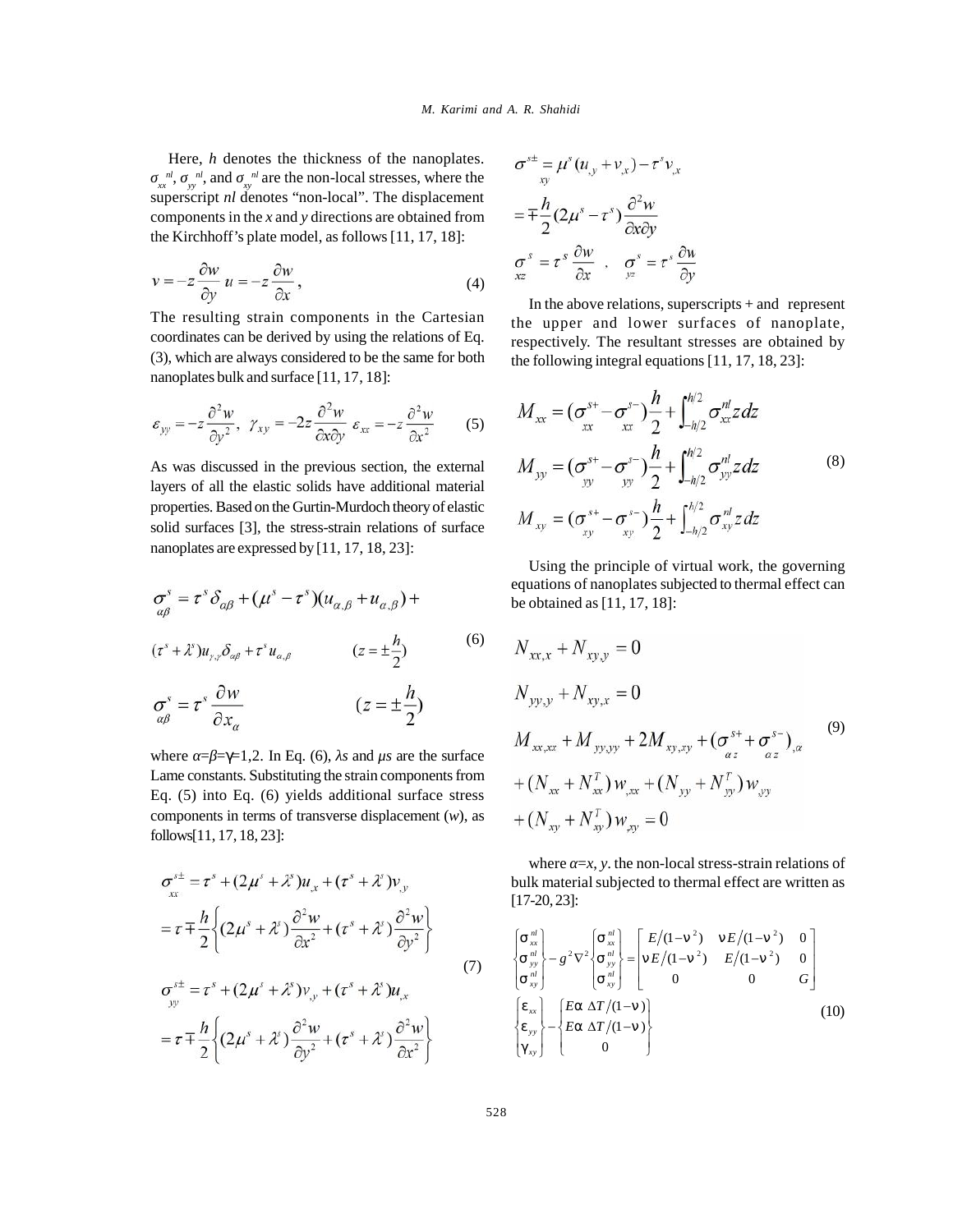Here, *h* denotes the thickness of the nanoplates.  $\frac{n!}{xx}$ ,  $\frac{n!}{yy}$ , and  $\frac{n!}{xy}$  are the non-local stresses, where the superscript *nl* denotes "non-local". The displacement components in the *x* and *y* directions are obtained from the Kirchhoff's plate model, as follows [11, 17, 18]:

$$
v = -z \frac{\partial w}{\partial y} u = -z \frac{\partial w}{\partial x},
$$
\n
$$
\begin{array}{c}\n a \\
 a \\
 b\n \end{array}
$$
\n
$$
\begin{array}{c}\n a \\
 b \\
 c\n \end{array} = t \frac{\partial v}{\partial x},
$$
\n
$$
\begin{array}{c}\n a \\
 b \\
 d\n \end{array}
$$
\nIn the above relation

The resulting strain components in the Cartesian coordinates can be derived by using the relations of Eq. (3), which are always considered to be the same for both nanoplates bulk and surface [11, 17, 18]:

$$
\varepsilon_{yy} = -z \frac{\partial^2 w}{\partial y^2}, \ \gamma_{xy} = -2z \frac{\partial^2 w}{\partial x \partial y} \ \varepsilon_{xx} = -z \frac{\partial^2 w}{\partial x^2} \qquad (5) \qquad M_{xx} = (\sigma_{xx}^{s+} - \sigma_{xx}^{s-}) \frac{\partial^2 w}{\partial x^2} + \int \frac{\partial^2 w}{\partial x^2} \ \varepsilon_{xx} = -z \frac{\partial^2 w}{\partial x^2} \qquad (5) \qquad M_{xx} = (\sigma_{xx}^{s+} - \sigma_{xx}^{s-}) \frac{\partial^2 w}{\partial x^2} + \int \frac{\partial^2 w}{\partial x^2} \ \varepsilon_{xx} = -z \frac{\partial^2 w}{\partial x^2} \qquad (5) \qquad M_{xx} = (\sigma_{xx}^{s+} - \sigma_{xx}^{s-}) \frac{\partial^2 w}{\partial x^2} + \int \frac{\partial^2 w}{\partial x^2} \ \varepsilon_{xx} = -z \frac{\partial^2 w}{\partial x^2} \qquad (5) \qquad M_{xx} = (\sigma_{xx}^{s+} - \sigma_{xx}^{s-}) \frac{\partial^2 w}{\partial x^2} + \int \frac{\partial^2 w}{\partial x^2} \ \varepsilon_{xx} = -z \frac{\partial^2 w}{\partial x^2} \qquad (5) \qquad M_{xx} = (\sigma_{xx}^{s+} - \sigma_{xx}^{s-}) \frac{\partial^2 w}{\partial x^2} + \int \frac{\partial^2 w}{\partial x^2} \ \varepsilon_{xx} = -z \frac{\partial^2 w}{\partial x^2} \qquad (5) \qquad M_{xx} = (\sigma_{xx}^{s+} - \sigma_{xx}^{s-}) \frac{\partial^2 w}{\partial x^2} \ \varepsilon_{xx} = -z \frac{\partial^2 w}{\partial x^2} \qquad (5) \qquad M_{xx} = (\sigma_{xx}^{s+} - \sigma_{xx}^{s-}) \frac{\partial^2 w}{\partial x^2} \ \varepsilon_{xx} = -z \frac{\partial^2 w}{\partial x^2} \qquad (5) \qquad M_{xx} = (\sigma_{xx}^{s+} - \sigma_{xx}^{s-}) \frac{\partial^2 w}{\partial x^2} \ .
$$

As was discussed in the previous section, the external layers of all the elastic solids have additional material properties. Based on the Gurtin-Murdoch theory of elastic solid surfaces [3], the stress-strain relations of surface nanoplates are expressed by [11, 17, 18, 23]:

$$
\sigma_{\alpha\beta}^{s} = \tau^{s} \delta_{\alpha\beta} + (\mu^{s} - \tau^{s})(u_{\alpha,\beta} + u_{\alpha,\beta}) + \text{ equations of nanopates subjected to thermal effect can be obtained as [11, 17, 18]:}
$$
\n
$$
(\tau^{s} + \lambda^{s})u_{\gamma,\gamma}\delta_{\alpha\beta} + \tau^{s}u_{\alpha,\beta} \qquad (z = \pm \frac{h}{2}) \qquad (6) \qquad N_{xx,x} + N_{xy,y} = 0
$$
\n
$$
\sigma_{\alpha\beta}^{s} = \tau^{s} \frac{\partial w}{\partial x_{\alpha}} \qquad (z = \pm \frac{h}{2}) \qquad N_{yy,y} + N_{xy,x} = 0
$$
\n
$$
(4) \qquad (5) \qquad (6) \qquad (7) \qquad (8)
$$

where  $= \pm \pm 1, 2$ . In Eq. (6), *s* and  $\mu s$  are the surface Lame constants. Substituting the strain components from Eq. (5) into Eq. (6) yields additional surface stress components in terms of transverse displacement (*w*), as follows[11, 17, 18, 23]:

$$
\sigma_{xx}^{st} = \tau^s + (2\mu^s + \lambda^s) u_{xx} + (\tau^s + \lambda^s) v_{yy}
$$
  
\n
$$
= \tau \mp \frac{h}{2} \left\{ (2\mu^s + \lambda^s) \frac{\partial^2 w}{\partial x^2} + (\tau^s + \lambda^s) \frac{\partial^2 w}{\partial y^2} \right\}
$$
  
\n
$$
\sigma_{yy}^{st} = \tau^s + (2\mu^s + \lambda^s) v_{yy} + (\tau^s + \lambda^s) u_{xx}
$$
  
\n
$$
= \tau \mp \frac{h}{2} \left\{ (2\mu^s + \lambda^s) \frac{\partial^2 w}{\partial y^2} + (\tau^s + \lambda^s) u_{xx} \right\}
$$
  
\n
$$
= \tau \mp \frac{h}{2} \left\{ (2\mu^s + \lambda^s) \frac{\partial^2 w}{\partial y^2} + (\tau^s + \lambda^s) \frac{\partial^2 w}{\partial x^2} \right\}
$$
  
\n
$$
\sigma_{yy}^{st} = \frac{v_{xx}}{\mu} \left\{ \frac{v_{xx}}{\mu} \right\} - \left\{ \frac{Er}{m} \frac{\Delta T/(1-\epsilon)}{F} \right\}
$$
  
\n
$$
= \frac{F}{m} \left\{ (2\mu^s + \lambda^s) \frac{\partial^2 w}{\partial y^2} + (\tau^s + \lambda^s) \frac{\partial^2 w}{\partial x^2} \right\}
$$
  
\n
$$
\sigma_{yy}^{st} = \begin{cases} v_{xx} \\ \frac{v_{yy}}{\mu} \\ \frac{v_{yy}}{\mu} \end{cases} - \left\{ \frac{Er}{m} \frac{\Delta T/(1-\epsilon)}{F} \right\}
$$

$$
\sigma^{st} = \mu^{s} (u_{,y} + v_{,x}) - \tau^{s} v_{,x}
$$
  
=  $\mp \frac{h}{2} (2\mu^{s} - \tau^{s}) \frac{\partial^{2} w}{\partial x \partial y}$   
 $\sigma^{s} = \tau^{s} \frac{\partial w}{\partial x} , \quad \sigma^{s} = \tau^{s} \frac{\partial w}{\partial y}$ 

In the above relations, superscripts  $+$  and represent the upper and lower surfaces of nanoplate, respectively. The resultant stresses are obtained by the following integral equations [11, 17, 18, 23]:

$$
\frac{w}{\partial y} \varepsilon_{xx} = -z \frac{\partial^2 w}{\partial x^2}
$$
\n(5) 
$$
M_{xx} = (\sigma_{xx}^{s+} - \sigma_{xx}^{s-}) \frac{h}{2} + \int_{-h/2}^{h/2} \sigma_{xx}^{nl} z dz
$$
\n  
\n*is*ous section, the external  
\nhave additional material  
\n-Murdoch theory of elastic  
\nstrain relations of surface  
\n
$$
M_{xy} = (\sigma_{xy}^{s+} - \sigma_{xy}^{s-}) \frac{h}{2} + \int_{-h/2}^{h/2} \sigma_{yy}^{nl} z dz
$$
\n(8)

<sup>2</sup>) 2010 months of the case of the case of the case of the case of the case of the case of the case of the case of the case of the case of the case of the case of the case of the case of the case of the case of the case o equations of nanoplates subjected to thermal effect can<br>  $\beta + u_{\alpha,\beta}$  +  $u_{\alpha,\beta}$  + be obtained as [11, 17, 18]: Using the principle of virtual work, the governing

$$
(z = \pm \frac{h}{2})
$$
\n(6)  $N_{xx,x} + N_{xy,y} = 0$   
\n
$$
(z = \pm \frac{h}{2})
$$
\n $N_{yy,y} + N_{xy,x} = 0$   
\nand  $\mu s$  are the surface  
\n
$$
M_{xx,xx} + M_{yy,yy} + 2M_{xy,xy} + (\sigma_{\alpha z}^{s+} + \sigma_{\alpha z}^{s-})_{,\alpha}
$$
\n(9)  
\n
$$
+ (N_{xx} + N_{xx}^T) w_{,xx} + (N_{yy} + N_{yy}^T) w_{,yy}
$$
\n
$$
+ (N_{xy} + N_{xy}^T) w_{,xy} = 0
$$

 $\sigma^{st} = \tau^s + (2\mu^s + \lambda^s)u_x + (\tau^s + \lambda^s)v_y$  bulk material subjected to thermal effect are written as where  $=x$ , *y*. the non-local stress-strain relations of [17-20, 23]:

$$
\frac{1}{2} \left\{ \frac{1}{2} + (\tau^s + \lambda^s) \frac{1}{2} \right\} \qquad (7) \qquad \begin{cases} \frac{1}{2} \frac{1}{2} \\ \frac{1}{2} \frac{1}{2} \\ \frac{1}{2} \frac{1}{2} \end{cases}
$$
\n
$$
\frac{1}{2} \left\{ \frac{1}{2} \frac{1}{2} \right\} \qquad (8) \qquad \begin{cases} \frac{1}{2} \frac{1}{2} \\ \frac{1}{2} \frac{1}{2} \\ \frac{1}{2} \frac{1}{2} \end{cases}
$$
\n
$$
\frac{1}{2} \left\{ \frac{1}{2} \right\} \qquad (9) \qquad \begin{cases} \frac{1}{2} \frac{1}{2} \\ \frac{1}{2} \frac{1}{2} \\ \frac{1}{2} \end{cases}
$$
\n
$$
\frac{1}{2} \left\{ \frac{1}{2} \left( \frac{1}{2} \right) \right\} \qquad (10) \qquad \begin{cases} \frac{1}{2} \\ \frac{1}{2} \frac{1}{2} \\ \frac{1}{2} \end{cases}
$$
\n
$$
\frac{1}{2} \left\{ \frac{1}{2} \left( \frac{1}{2} \right) \right\} \qquad (11) \qquad \begin{cases} \frac{1}{2} \\ \frac{1}{2} \end{cases}
$$
\n
$$
\frac{1}{2} \left\{ \frac{1}{2} \left( \frac{1}{2} \right) \right\} \qquad (12)
$$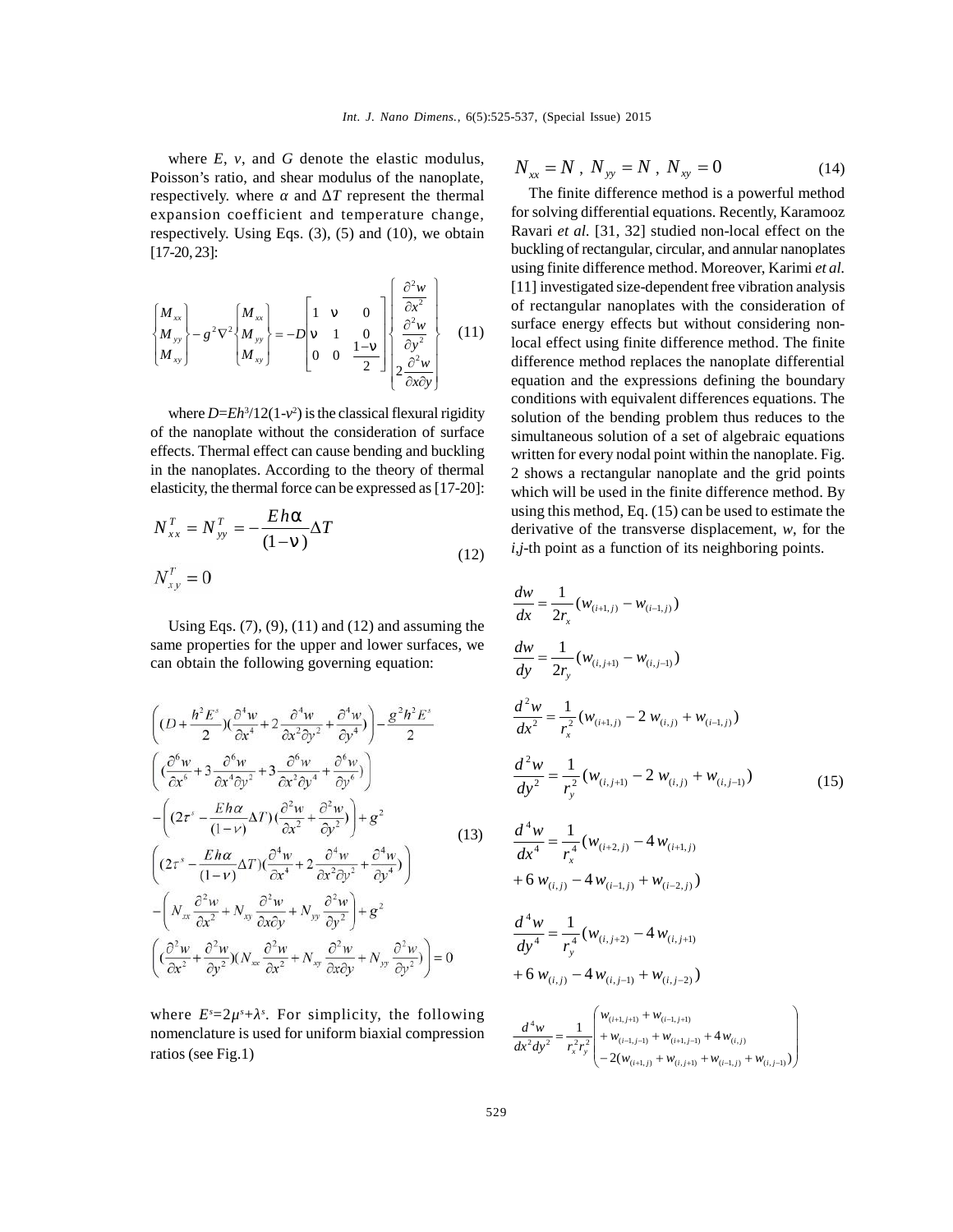where *E*, *v*, and *G* denote the elastic modulus, Poisson's ratio, and shear modulus of the nanoplate, respectively. where and *T* represent the thermal expansion coefficient and temperature change, respectively. Using Eqs. (3), (5) and (10), we obtain [17-20, 23]:

$$
\begin{Bmatrix} M_{xx} \\ M_{yy} \\ M_{xy} \end{Bmatrix} - g^2 \nabla^2 \begin{Bmatrix} M_{xx} \\ M_{yy} \\ M_{xy} \end{Bmatrix} = -D \begin{bmatrix} 1 & \text{€} & 0 \\ \text{€} & 1 & 0 \\ 0 & 0 & \frac{1-\text{€}}{2} \end{bmatrix} \begin{bmatrix} \frac{\partial^2 w}{\partial x^2} \\ \frac{\partial^2 w}{\partial y^2} \\ 2\frac{\partial^2 w}{\partial x \partial y} \end{bmatrix}
$$
 (11)  $\begin{aligned} \text{su} \\ \text{su} \\ \text{lo} \end{aligned}$ 

where  $D= Eh^3/12(1-\frac{2}{3})$  is the classical flexural rigidity solut of the nanoplate without the consideration of surface effects. Thermal effect can cause bending and buckling in the nanoplates. According to the theory of thermal elasticity, the thermal force can be expressed as [17-20]:

$$
N_{xx}^T = N_{yy}^T = -\frac{Eh\Gamma}{(1-\epsilon)}\Delta T
$$

Using Eqs.  $(7)$ ,  $(9)$ ,  $(11)$  and  $(12)$  and assuming the same properties for the upper and lower surfaces, we can obtain the following governing equation:

$$
\begin{aligned}\n&\left((D+\frac{h^{2}E^{s}}{2})(\frac{\partial^{4}w}{\partial x^{4}}+2\frac{\partial^{4}w}{\partial x^{2}\partial y^{2}}+\frac{\partial^{4}w}{\partial y^{4}})\right)-\frac{g^{2}h^{2}E^{s}}{2} & \frac{d^{2}w}{dx^{2}}=\frac{1}{r_{x}^{2}}(w_{(i+1,j)}-2 w_{(i,j)}+w_{(i-1,j)})\\
&\left((\frac{\partial^{6}w}{\partial x^{6}}+3\frac{\partial^{6}w}{\partial x^{4}\partial y^{2}}+3\frac{\partial^{6}w}{\partial x^{2}\partial y^{4}}+\frac{\partial^{6}w}{\partial y^{6}})\right) & \frac{d^{2}w}{dy^{2}}=\frac{1}{r_{y}^{2}}(w_{(i,j+1)}-2 w_{(i,j)}+w_{(i,j-1)})\\
&-\left((2\tau^{s}-\frac{Eh\alpha}{(1-\nu)}\Delta T)(\frac{\partial^{2}w}{\partial x^{4}}+\frac{\partial^{2}w}{\partial y^{2}})\right)+g^{2} & & (13) & \frac{d^{4}w}{dx^{4}}=\frac{1}{r_{x}^{4}}(w_{(i+2,j)}-4 w_{(i+1,j)}\\
&\left((2\tau^{s}-\frac{Eh\alpha}{(1-\nu)}\Delta T)(\frac{\partial^{4}w}{\partial x^{4}}+2\frac{\partial^{4}w}{\partial x^{2}\partial y^{2}}+\frac{\partial^{4}w}{\partial y^{4}})\right)+6 w_{(i,j)}-4 w_{(i-1,j)}+w_{(i-2,j)})\\
&-\left(N_{xx}\frac{\partial^{2}w}{\partial x^{2}}+N_{xy}\frac{\partial^{2}w}{\partial x\partial y}+N_{yy}\frac{\partial^{2}w}{\partial y^{2}}\right)+g^{2} & \frac{d^{4}w}{dy^{4}}=\frac{1}{r_{y}^{4}}(w_{(i,j+2)}-4 w_{(i,j+1)}\\
&\left((\frac{\partial^{2}w}{\partial x^{2}}+\frac{\partial^{2}w}{\partial y^{2}})(N_{xx}\frac{\partial^{2}w}{\partial x^{2}}+N_{xy}\frac{\partial^{2}w}{\partial x\partial y}+N_{yy}\frac{\partial^{2}w}{\partial y^{2}}\right)=0 & & +6 w_{(i,j)}-4 w_{(i,j+1)}+w_{(i,j)}\n\end{aligned}
$$

where  $E^s = 2\mu^s + s$ . For simplicity, the following nomenclature is used for uniform biaxial compression ratios (see Fig.1)

$$
N_{xx} = N \, , \ N_{yy} = N \, , \ N_{xy} = 0 \tag{14}
$$

The finite difference method is a powerful method for solving differential equations. Recently, Karamooz Ravari *et al.* [31, 32] studied non-local effect on the buckling of rectangular, circular, and annular nanoplates using finite difference method. Moreover, Karimi *et al.* [11] investigated size-dependent free vibration analysis of rectangular nanoplates with the consideration of surface energy effects but without considering nonlocal effect using finite difference method. The finite difference method replaces the nanoplate differential equation and the expressions defining the boundary conditions with equivalent differences equations. The solution of the bending problem thus reduces to the simultaneous solution of a set of algebraic equations written for every nodal point within the nanoplate. Fig. 2 shows a rectangular nanoplate and the grid points which will be used in the finite difference method. By using this method, Eq. (15) can be used to estimate the derivative of the transverse displacement, *w*, for the *i*,*j*-th point as a function of its neighboring points.

(11) and (12) and assuming the  
\ne upper and lower surfaces, we  
\nng governing equation: 
$$
\frac{dw}{dx} = \frac{1}{2r_x} (w_{(i+1,j)} - w_{(i-1,j)})
$$
\n
$$
\frac{\partial^4 w}{\partial x^2} + \frac{\partial^4 w}{\partial y^4} - \frac{g^2 h^2 E^s}{2}
$$
\n
$$
\frac{d^2 w}{dx^2} = \frac{1}{r_x^2} (w_{(i+1,j)} - 2 w_{(i,j)} + w_{(i-1,j)})
$$
\n
$$
\frac{\partial^6 w}{dx^2 \partial y^2} + \frac{\partial^6 w}{\partial y^4} - \frac{\partial^6 w}{\partial y^6}
$$
\n
$$
\frac{\partial^2 w}{dx^2} = \frac{1}{r_y^2} (w_{(i+1,j)} - 2 w_{(i,j)} + w_{(i-1,j)})
$$
\n
$$
\frac{d^2 w}{dy^2} = \frac{1}{r_y^2} (w_{(i,j+1)} - 2 w_{(i,j)} + w_{(i,j-1)})
$$
\n
$$
\frac{d^2 w}{dx^2 \partial y^2} + \frac{\partial^2 w}{\partial y^2} + \frac{\partial^4 w}{\partial y^4}
$$
\n
$$
\frac{d^4 w}{dx^4} = \frac{1}{r_x^4} (w_{(i+2,j)} - 4 w_{(i+1,j)} + w_{(i-2,j)})
$$
\n
$$
+ 6 w_{(i,j)} - 4 w_{(i-1,j)} + w_{(i-2,j)})
$$
\n
$$
+ N_{xy} \frac{\partial^2 w}{\partial y^2} + g^2
$$
\n
$$
+ \frac{d^4 w}{dy^4} = \frac{1}{r_y^4} (w_{(i,j+2)} - 4 w_{(i,j+1)} + w_{(i-2,j)})
$$
\n
$$
+ 6 w_{(i,j)} - 4 w_{(i,j-1)} + w_{(i,j-2)}
$$

$$
\frac{d^4 w}{dx^2 dy^2} = \frac{1}{r_x^2 r_y^2} \begin{pmatrix} w_{(i+1,j+1)} + w_{(i-1,j+1)} \\ + w_{(i-1,j-1)} + w_{(i+1,j-1)} + 4 w_{(i,j)} \\ -2(w_{(i+1,j)} + w_{(i,j+1)} + w_{(i-1,j)} + w_{(i,j-1)}) \end{pmatrix}
$$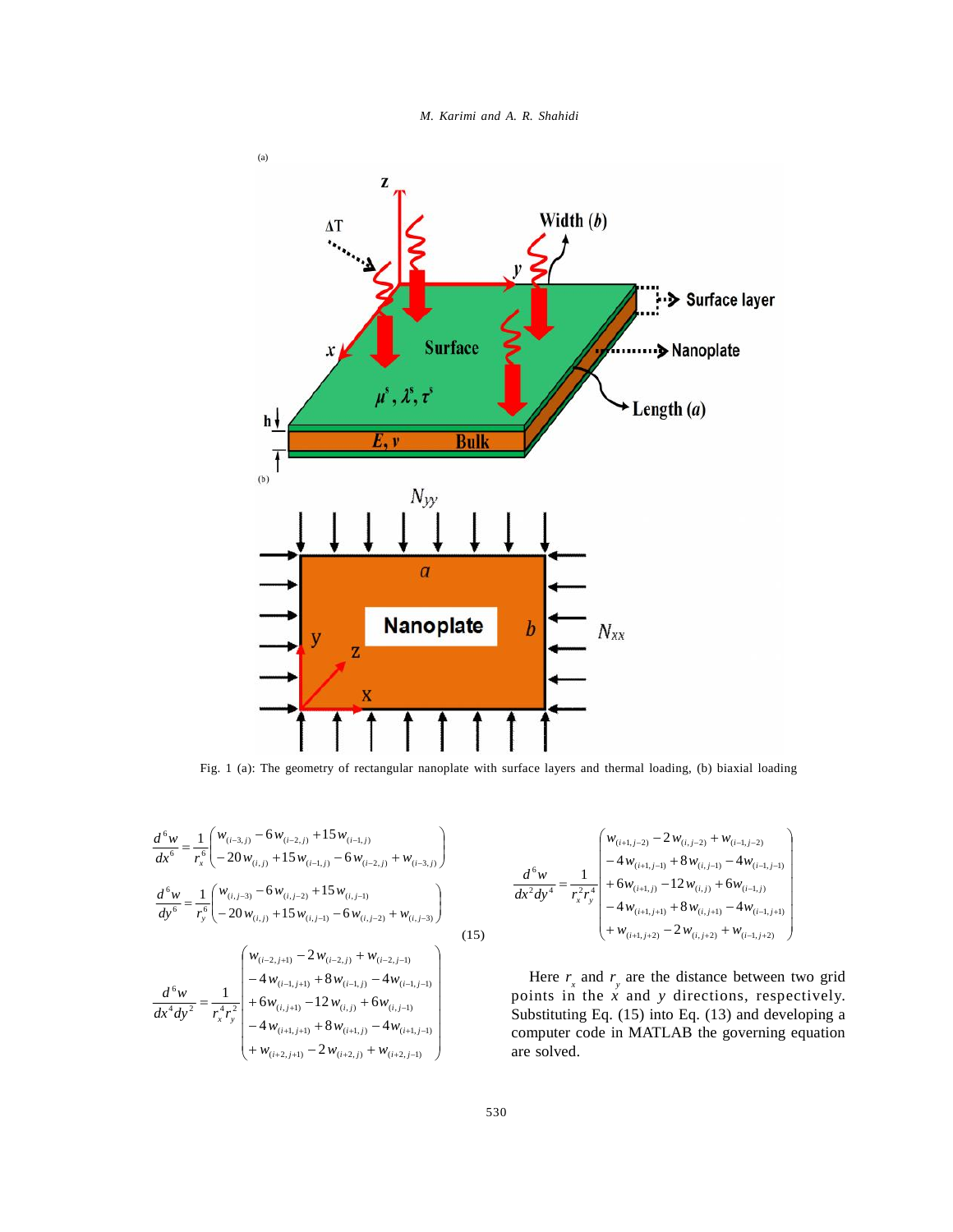



Fig. 1 (a): The geometry of rectangular nanoplate with surface layers and thermal loading, (b) biaxial loading

$$
\frac{d^6 w}{dx^6} = \frac{1}{r_x^6} \left( \frac{w_{(i-3,j)} - 6w_{(i-2,j)} + 15w_{(i-1,j)}}{-20w_{(i,j)} + 15w_{(i-1,j)} - 6w_{(i-2,j)} + w_{(i-3,j)}} \right)
$$
\n
$$
\frac{d^6 w}{dy^6} = \frac{1}{r_y^6} \left( \frac{w_{(i,j-3)} - 6w_{(i,j-2)} + 15w_{(i,j-1)}}{-20w_{(i,j)} + 15w_{(i,j-1)} - 6w_{(i,j-2)} + w_{(i,j-3)}} \right)
$$
\n
$$
\frac{d^6 w}{dx^4 dy^2} = \frac{1}{r_x^4 r_y^2} \left( \frac{w_{(i-2,j+1)} - 2w_{(i-2,j)} + w_{(i-2,j-1)}}{-4w_{(i-1,j+1)} + 8w_{(i-1,j)} - 4w_{(i-1,j-1)}} - 4w_{(i+1,j+1)} + 8w_{(i+1,j)} - 4w_{(i+1,j-1)} - 4w_{(i+1,j+1)} - 4w_{(i+2,j+1)} - 2w_{(i+2,j)} + w_{(i+2,j-1)} \right)
$$
\n(15)

(15) 
$$
\frac{d^6 w}{dx^2 dy^4} = \frac{1}{r_x^2 r_y^4} \begin{pmatrix} w_{(i+1,j-2)} - 2 w_{(i,j-2)} + w_{(i-1,j-2)} \\ -4 w_{(i+1,j-1)} + 8 w_{(i,j-1)} - 4 w_{(i-1,j-1)} \\ +6 w_{(i+1,j)} - 12 w_{(i,j)} + 6 w_{(i-1,j)} \\ -4 w_{(i+1,j+1)} + 8 w_{(i,j+1)} - 4 w_{(i-1,j+1)} \\ + w_{(i+1,j+2)} - 2 w_{(i,j+2)} + w_{(i-1,j+2)} \end{pmatrix}
$$

Here  $r_x$  and  $r_y$  are the distance between two grid points in the *x* and *y* directions, respectively. Substituting Eq. (15) into Eq. (13) and developing a computer code in MATLAB the governing equation are solved.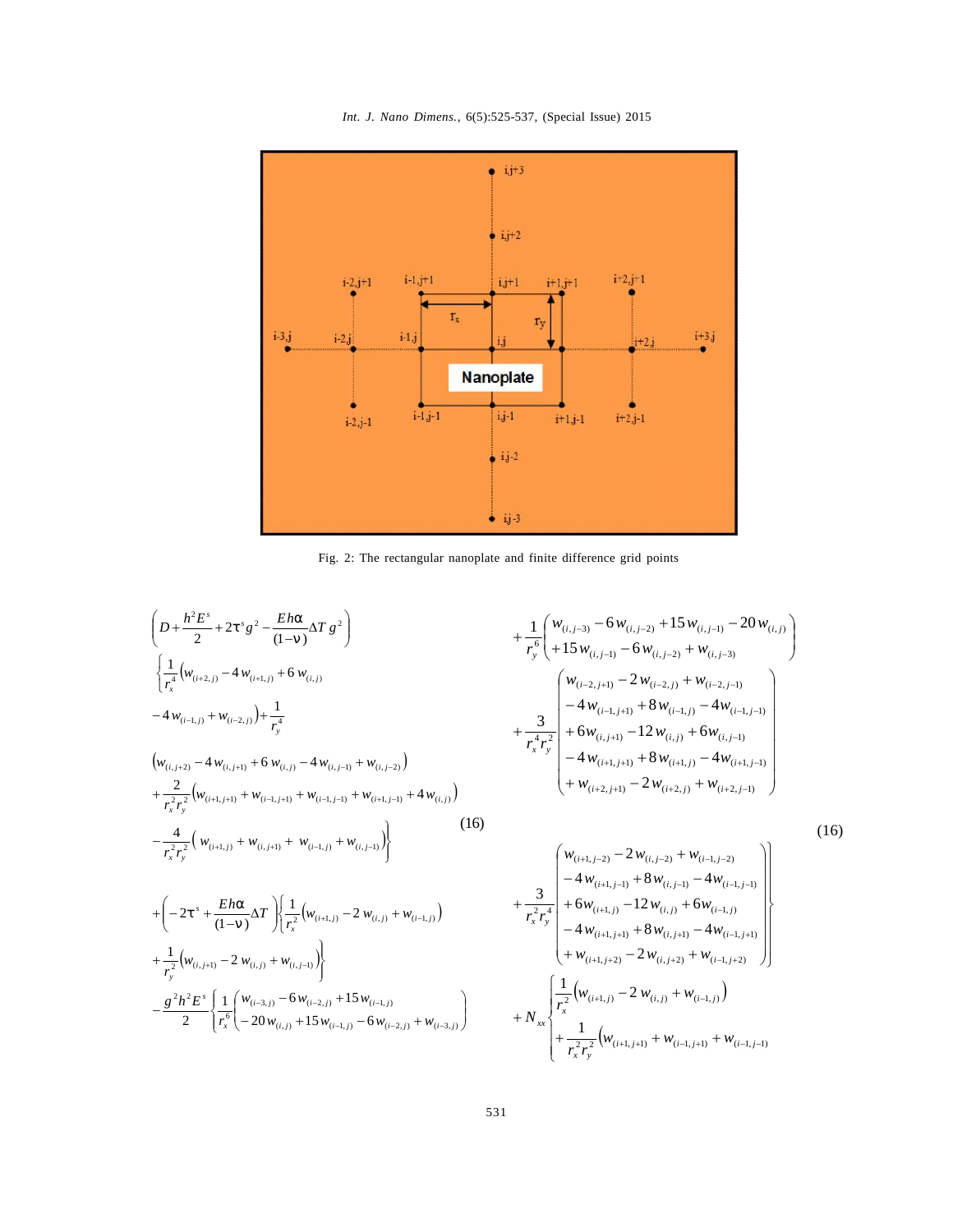*Int. J. Nano Dimens.*, 6(5):525-537, (Special Issue) 2015



Fig. 2: The rectangular nanoplate and finite difference grid points

$$
\begin{pmatrix}\nD + \frac{h^2 E^s}{2} + 2t^s g^2 - \frac{E h r}{(1 - \epsilon)} \Delta T g^2\n\end{pmatrix}\n+ \frac{1}{r_y^6} \begin{pmatrix}\n\frac{1}{r_x^4} (w_{(i, j-1)} - 4 w_{(i, i, j)} + w_{(i, j-1)}) & + \frac{1}{r_y^6} (w_{(i, j-1)} - 6 w_{(i, j-2)}) + w_{(i, j-3)} \\
- 4 w_{(i-1, j)} + w_{(i-2, j)} + \frac{1}{r_y^4} & + \frac{3}{r_x^4 r_y^2} + 6 w_{(i, j+1)} - 2w_{(i-2, j)} + w_{(i-2, j-1)} \\
(w_{(i, j+2)} - 4 w_{(i, j+1)} + 6 w_{(i, j)} - 4 w_{(i, j-1)} + w_{(i-1, j+1)} + w_{(i, j-2)})\n\end{pmatrix}\n+ \frac{2}{r_x^2 r_y^2} (w_{(i+1, j+1)} + w_{(i-1, j+1)} + w_{(i-1, j+1)} + w_{(i-1, j+1)} + w_{(i-1, j+1)} + w_{(i-1, j+1)} + w_{(i-1, j+1)} + w_{(i-1, j+1)} + w_{(i, j+1)} + w_{(i, j, j+1)} + w_{(i, j, j+1)} + w_{(i, j, j+1)} + w_{(i, j, j+1)} + w_{(i, j, j+1)} + w_{(i, j, j+1)} + w_{(i, j, j+1)} + w_{(i, j, j+1)} + w_{(i, j, j+1)} + w_{(i, j, j+1)} + w_{(i, j, j+1)} + w_{(i, j, j+1)} + w_{(i, j, j+1)} + w_{(i, j, j+1)} + w_{(i, j, j+1)} + w_{(i, j, j+1)} + w_{(i, j, j+1)} + w_{(i, j, j+1)} + w_{(i, j, j+1)} + w_{(i, j, j+1)} + w_{(i, j, j+1)} + w_{(i, j, j+1)} + w_{(i, j, j+1)} + w_{(i, j, j+1)} + w_{(i, j, j+1)} + w_{(i, j, j+1)} + w
$$

$$
+\frac{1}{r_{y}^{6}}\left(\frac{w_{(i,j-3)}-6w_{(i,j-2)}+15w_{(i,j-1)}-20w_{(i,j)}}{+15w_{(i,j-1)}-6w_{(i,j-2)}+w_{(i,j-3)}}\right) +\frac{3}{r_{x}^{4}r_{y}^{2}}\left(\frac{w_{(i-2,j+1)}-2w_{(i-2,j)}+w_{(i-2,j-1)}}{+6w_{(i,j+1)}-12w_{(i,j)}+6w_{(i,j-1)}}\right) +\frac{3}{r_{x}^{4}r_{y}^{2}}\left(\frac{4}{-4w_{(i+1,j+1)}+8w_{(i+1,j)}-4w_{(i+1,j-1)}}\right) +\frac{4}{w_{(i+2,j+1)}-2w_{(i+2,j)}+w_{(i+2,j-1)}}\right)
$$

$$
(16)
$$

$$
\begin{aligned}\n&\left.\int_{\left\{\frac{1}{r_x^2}\left(w_{(i+1,j)}-2\,w_{(i,j)}+w_{(i-1,j)}\right)\right\}}\n\right\|_{\mathcal{W}_{(i,j-1)}} \\
&\left.\int_{\left\{\frac{1}{r_x^2}\left(w_{(i+1,j)}-2\,w_{(i,j)}+w_{(i-1,j)}\right)\right\}}\n\right\|_{\mathcal{W}_{(i,j-1)}}\n\end{aligned}\n\begin{aligned}\n&\left.\int_{\left\{\frac{1}{r_x^2}\left(w_{(i+1,j)}-2\,w_{(i,j)}+w_{(i-1,j)}\right)\right\}}\n\right\|_{\mathcal{W}_{(i+1,j)}}\n\left.\n\left.\begin{array}{l} \left.\frac{1}{r_x^2r_y^4}\n\right\|_{\mathcal{W}_{(i+1,j+1)}} + 8w_{(i,j)} + 6w_{(i-1,j)} \\
+ 6w_{(i+1,j+1)} + 8w_{(i,j+1)} - 4w_{(i-1,j+1)} \\
+ w_{(i,j+1)} + 8w_{(i,j+1)} - 4w_{(i-1,j+1)} \\
+ w_{(i+1,j+2)} - 2w_{(i,j+2)} + w_{(i-1,j+2)}\n\end{array}\n\right)\n\end{aligned}\n\right\}
$$
\n
$$
\begin{aligned}\n&\left.\int_{\left\{\frac{1}{r_x^2}\left(w_{(i+1,j)}-2\,w_{(i,j)}+w_{(i-1,j)}\right)\right\}}\n\left.\n\right\|_{\mathcal{W}_{(i,j)}} + 15w_{(i-1,j)} - 6w_{(i-2,j)} + w_{(i-3,j)}\n\end{aligned}\n\right\} + N_{xx}\n\begin{bmatrix}\n&\frac{1}{r_x^2}\left(w_{(i+1,j)}-2\,w_{(i,j)}+w_{(i-1,j)}\right) \\
&\frac{1}{r_x^2r_y^2}\left(w_{(i+1,j+1)}+w_{(i-1,j+1)}+w_{(i-1,j-1)}\right)\n\end{bmatrix}\n\end{aligned}
$$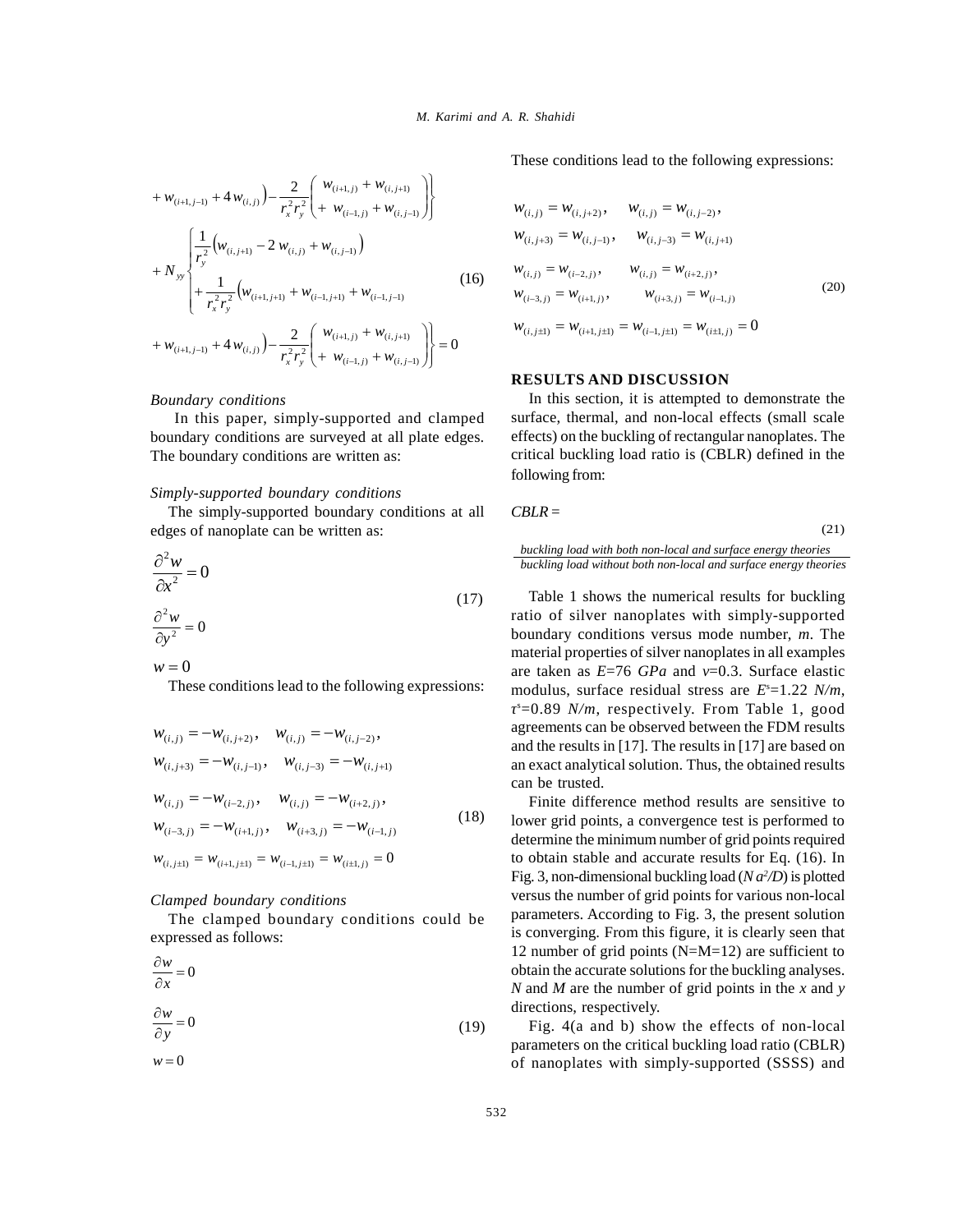$$
+ w_{(i+1,j-1)} + 4 w_{(i,j)} \Big) - \frac{2}{r_x^2 r_y^2} \Bigg( w_{(i+1,j)} + w_{(i,j+1)} \Bigg)
$$
\n
$$
+ N_{yy} \Bigg\{ \frac{1}{r_y^2} \Big( w_{(i,j+1)} - 2 w_{(i,j)} + w_{(i,j-1)} \Big) - \frac{1}{r_x^2 r_y^2} \Big( w_{(i+1,j+1)} + w_{(i-1,j+1)} + w_{(i-1,j-1)} \Big) - \frac{1}{r_x^2 r_y^2} \Big( w_{(i+1,j+1)} + w_{(i-1,j+1)} + w_{(i-1,j-1)} \Bigg)
$$
\n
$$
+ w_{(i+1,j-1)} + 4 w_{(i,j)} \Bigg) - \frac{2}{r_x^2 r_y^2} \Bigg( w_{(i+1,j)} + w_{(i-1,j)} + w_{(i,j+1)} \Bigg) - \frac{2}{r_x^2 r_y^2} \Bigg( w_{(i+1,j)} + w_{(i,j+1)} \Bigg) - \frac{2}{r_x^2 r_y^2} \Bigg( w_{(i+1,j)} + w_{(i,j+1)} \Bigg) - \frac{2}{r_x^2 r_y^2} \Bigg( w_{(i+1,j)} + w_{(i,j+1)} \Bigg) - \frac{2}{r_x^2 r_y^2} \Bigg( w_{(i+1,j)} + w_{(i,j+1)} \Bigg) - \frac{2}{r_x^2 r_y^2} \Bigg( w_{(i+1,j)} + w_{(i,j+1)} \Bigg) - \frac{2}{r_x^2 r_y^2} \Bigg( w_{(i+1,j)} + w_{(i,j+1)} \Bigg) - \frac{2}{r_x^2 r_y^2} \Bigg( w_{(i+1,j)} + w_{(i,j+1)} \Bigg) - \frac{2}{r_x^2 r_y^2} \Bigg( w_{(i+1,j)} + w_{(i,j+1)} \Bigg) - \frac{2}{r_x^2 r_y^2} \Bigg( w_{(i+1,j)} + w_{(i,j+1)} \Bigg) - \frac{2}{r_x^2 r_y^2} \Bigg( w_{(i+1,j)} + w_{(i,j)} \Bigg) - \frac{2}{r_x^2 r_y^2} \Bigg( w_{(i+1,j)} + w_{(i,j)} \Bigg) - \frac{2}{r_x^2
$$

#### *Boundary conditions*

 In this paper, simply-supported and clamped boundary conditions are surveyed at all plate edges. The boundary conditions are written as:

#### *Simply-supported boundary conditions*

The simply-supported boundary conditions at all edges of nanoplate can be written as:

$$
\frac{\partial^2 w}{\partial x^2} = 0
$$
\n
$$
\frac{\partial^2 w}{\partial y^2} = 0
$$
\n(17) T  
\n
$$
\frac{\partial^2 w}{\partial y^2} = 0
$$
\n(17) T  
\n
$$
\frac{\partial^2 w}{\partial y^2} = 0
$$
\n(19)

These conditions lead to the following expressions:

$$
w_{(i,j)} = -w_{(i,j+2)}, \quad w_{(i,j)} = -w_{(i,j-2)}, \quad \text{as}
$$
  
\n
$$
w_{(i,j+3)} = -w_{(i,j-1)}, \quad w_{(i,j-3)} = -w_{(i,j+1)} \quad \text{as}
$$
  
\n
$$
w_{(i,j)} = -w_{(i-2,j)}, \quad w_{(i,j)} = -w_{(i+2,j)}, \quad w_{(i-3,j)} = -w_{(i+1,j)}, \quad w_{(i+3,j)} = -w_{(i-1,j)} \quad \text{(18)}
$$
  
\n
$$
w_{(i,j+1)} = w_{(i+1,j+1)} = w_{(i-1,j+1)} = w_{(i+1,j)} = 0 \quad \text{to}
$$

## *Clamped boundary conditions*

The clamped boundary conditions could be expressed as follows:

$$
\frac{\partial w}{\partial x} = 0
$$
ot  
\n
$$
\frac{\partial w}{\partial y} = 0
$$

 $w = 0$ 

These conditions lead to the following expressions:

$$
\begin{aligned}\n & \left\{\n \begin{array}{c}\n u_{(i,j)}\n \end{array}\n \right\} - \frac{1}{r_x^2 r_y^2} \left( \n + w_{(i-1,j)} + w_{(i,j-1)} \n \right)\n \end{aligned}\n \quad\n & \left\{\n \begin{array}{c}\n w_{(i,j)} = w_{(i,j+2)}, \quad w_{(i,j)} = w_{(i,j-2)},\n \end{array}\n \right.\n \quad\n & \left\{\n \begin{array}{c}\n w_{(i,j+3)} = w_{(i,j-1)}, \quad w_{(i,j-3)} = w_{(i,j+1)}\n \end{array}\n \right.\n \end{aligned}
$$
\n
$$
\begin{aligned}\n & \left\{\n \begin{array}{c}\n w_{(i,j-1)}\n \end{array}\n \right\} & \left\{\n \begin{array}{c}\n w_{(i,j)} = w_{(i-2,j)}, \quad w_{(i,j)} = w_{(i+2,j)},\n \end{array}\n \right.\n \quad\n & \left\{\n \begin{array}{c}\n w_{(i+1,j+1)} + w_{(i-1,j-1)} & \text{if } w_{(i-1,j)} = w_{(i-1,j)}, \quad w_{(i+3,j)} = w_{(i-1,j)}\n \end{array}\n \right.\n \end{aligned}
$$
\n
$$
\begin{aligned}\n & \left\{\n \begin{array}{c}\n w_{(i+1,j)} + w_{(i,j+1)} \\
 \end{array}\n \right\} & \quad\n \left\{\n \begin{array}{c}\n w_{(i,j+1)} = w_{(i+1,j+1)} = w_{(i-1,j+1)} = w_{(i+1,j)} = 0\n \end{array}\n \right.\n \end{aligned}
$$
\n
$$
\begin{aligned}\n & \left\{\n \begin{array}{c}\n w_{(i+1,j)} + w_{(i,j+1)} \\
 \end{array}\n \right\}\n \end{aligned}
$$
\n
$$
\begin{aligned}\n & \left\{\n \begin{array}{c}\n w_{(i,j+1)} = w_{(i-1,j+1)} \\
 \end{array}\n \right\} & \quad\n \end{aligned}
$$
\n
$$
\begin{aligned}\n & \left\{\n \begin{array}{c}\n w_{(i,j+1)} = w_{(i-1,j)}\n \end{array}\
$$

#### **RESULTS AND DISCUSSION**

In this section, it is attempted to demonstrate the surface, thermal, and non-local effects (small scale effects) on the buckling of rectangular nanoplates. The critical buckling load ratio is (CBLR) defined in the following from:

$$
CBLR =
$$

*buckling load with both non-local and surface energy theories buckling load without both non-local and surface energy theories*

(21)

Table 1 shows the numerical results for buckling ratio of silver nanoplates with simply-supported boundary conditions versus mode number, *m*. The material properties of silver nanoplates in all examples are taken as  $E=76$  *GPa* and  $=0.3$ . Surface elastic modulus, surface residual stress are  $E^*=1.22$  *N/m*, <sup>s</sup>=0.89 *N/m*, respectively. From Table 1, good agreements can be observed between the FDM results and the results in [17]. The results in [17] are based on an exact analytical solution. Thus, the obtained results can be trusted.

Finite difference method results are sensitive to lower grid points, a convergence test is performed to determine the minimum number of grid points required to obtain stable and accurate results for Eq. (16). In Fig. 3, non-dimensional buckling load  $(N a^2/D)$  is plotted versus the number of grid points for various non-local parameters. According to Fig. 3, the present solution is converging. From this figure, it is clearly seen that 12 number of grid points (N=M=12) are sufficient to obtain the accurate solutions for the buckling analyses. *N* and *M* are the number of grid points in the *x* and *y* directions, respectively.

Fig. 4(a and b) show the effects of non-local parameters on the critical buckling load ratio (CBLR) of nanoplates with simply-supported (SSSS) and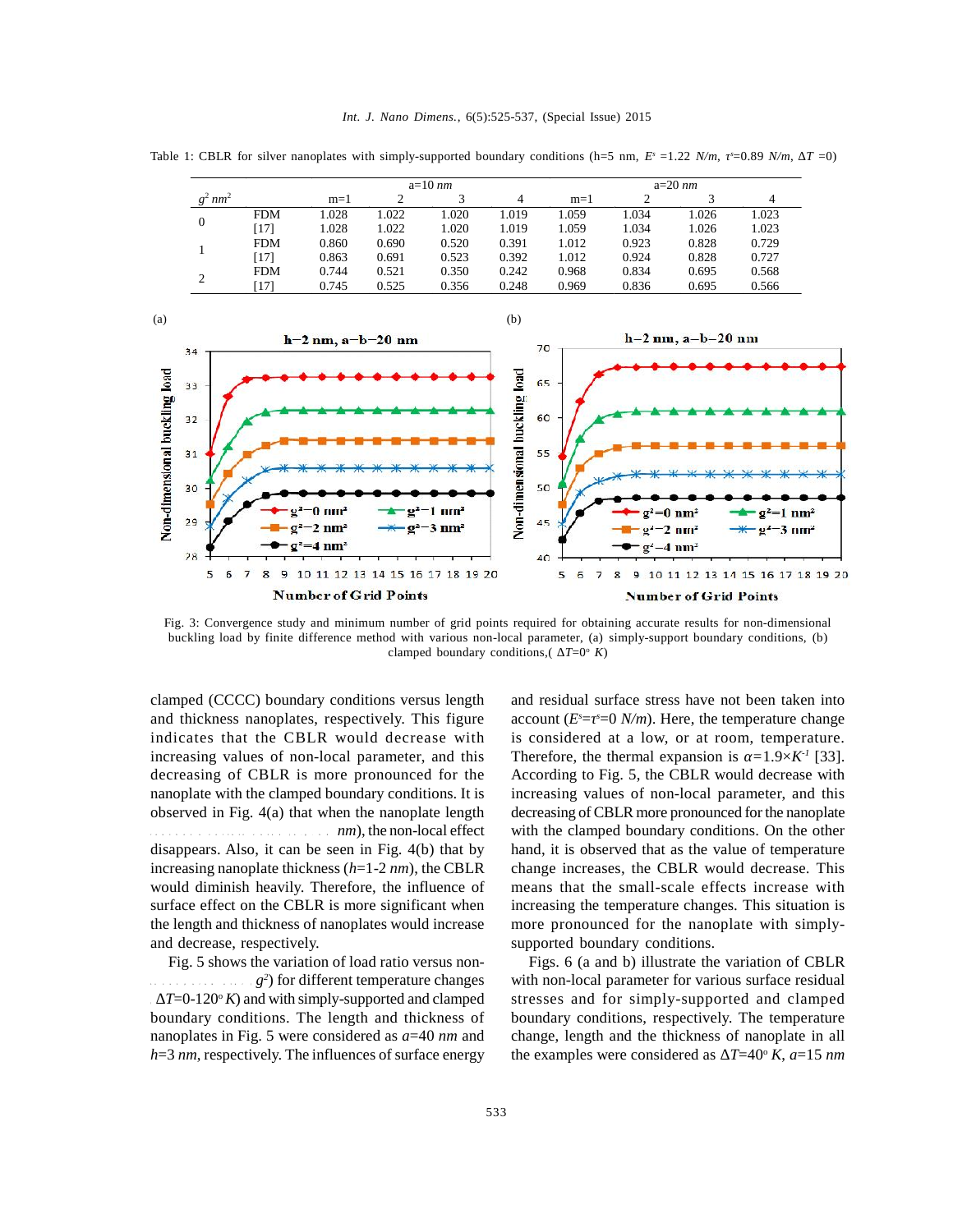|                |            |       | $a=10$ nm |       |       |       | $a=20$ nm |       |       |  |
|----------------|------------|-------|-----------|-------|-------|-------|-----------|-------|-------|--|
| $nm^2$         |            | $m=1$ |           |       |       | $m=1$ |           |       |       |  |
| $\overline{0}$ | <b>FDM</b> | 1.028 | .022      | 1.020 | 1.019 | 1.059 | 1.034     | .026  | 1.023 |  |
|                | 171)       | 1.028 | 1.022     | 1.020 | 1.019 | 1.059 | 1.034     | 1.026 | 1.023 |  |
|                | <b>FDM</b> | 0.860 | 0.690     | 0.520 | 0.391 | 1.012 | 0.923     | 0.828 | 0.729 |  |
|                | [17]       | 0.863 | 0.691     | 0.523 | 0.392 | 1.012 | 0.924     | 0.828 | 0.727 |  |
| ◠<br>∸         | <b>FDM</b> | 0.744 | 0.521     | 0.350 | 0.242 | 0.968 | 0.834     | 0.695 | 0.568 |  |
|                | $17^{1}$   | 0.745 | 0.525     | 0.356 | 0.248 | 0.969 | 0.836     | 0.695 | 0.566 |  |

Table 1: CBLR for silver nanoplates with simply-supported boundary conditions (h=5 nm,  $E^s = 1.22$  *N/m*,  $^s=0.89$  *N/m*,  $T=0$ )



Fig. 3: Convergence study and minimum number of grid points required for obtaining accurate results for non-dimensional buckling load by finite difference method with various non-local parameter, (a) simply-support boundary conditions, (b) clamped boundary conditions,  $(T=0^{\circ} K)$ 

clamped (CCCC) boundary conditions versus length and thickness nanoplates, respectively. This figure indicates that the CBLR would decrease with increasing values of non-local parameter, and this decreasing of CBLR is more pronounced for the nanoplate with the clamped boundary conditions. It is observed in Fig. 4(a) that when the nanoplate length *nm*), the non-local effect disappears. Also, it can be seen in Fig. 4(b) that by increasing nanoplate thickness (*h*=1-2 *nm*), the CBLR would diminish heavily. Therefore, the influence of surface effect on the CBLR is more significant when the length and thickness of nanoplates would increase and decrease, respectively.

Fig. 5 shows the variation of load ratio versus nonl  $g^2$  for different temperature changes with  $T=0-120^\circ K$ ) and with simply-supported and clamped boundary conditions. The length and thickness of nanoplates in Fig. 5 were considered as *a*=40 *nm* and *h*=3 *nm*, respectively. The influences of surface energy

and residual surface stress have not been taken into account  $(E^s = s = 0 \ N/m)$ . Here, the temperature change is considered at a low, or at room, temperature. Therefore, the thermal expansion is  $=1.9\times K^T$  [33]. According to Fig. 5, the CBLR would decrease with increasing values of non-local parameter, and this decreasing of CBLR more pronounced for the nanoplate with the clamped boundary conditions. On the other hand, it is observed that as the value of temperature change increases, the CBLR would decrease. This means that the small-scale effects increase with increasing the temperature changes. This situation is more pronounced for the nanoplate with simplysupported boundary conditions.

Figs. 6 (a and b) illustrate the variation of CBLR with non-local parameter for various surface residual stresses and for simply-supported and clamped boundary conditions, respectively. The temperature change, length and the thickness of nanoplate in all the examples were considered as  $T=40^\circ K$ ,  $a=15$  *nm*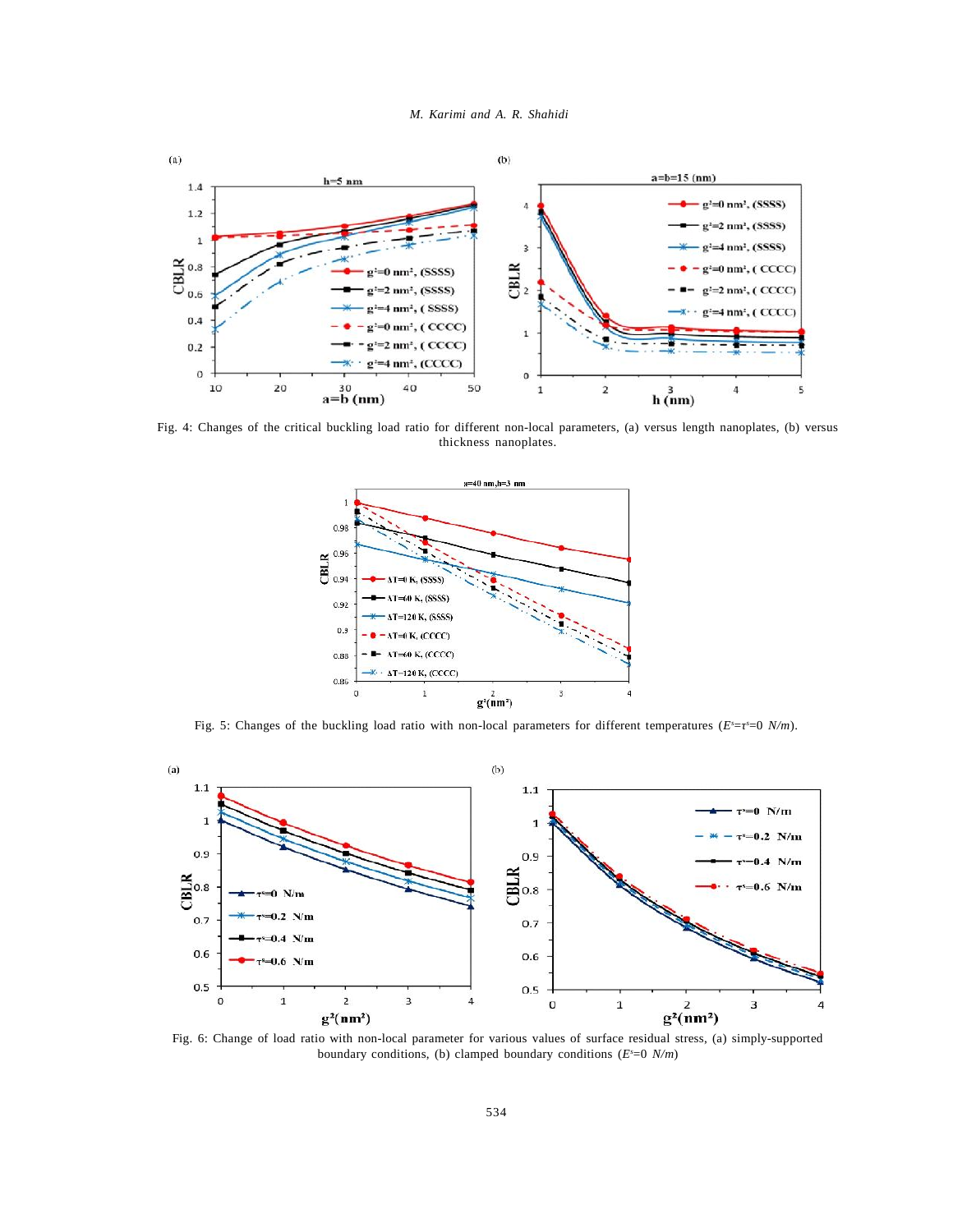



Fig. 4: Changes of the critical buckling load ratio for different non-local parameters, (a) versus length nanoplates, (b) versus thickness nanoplates.



Fig. 5: Changes of the buckling load ratio with non-local parameters for different temperatures ( $E^{\text{S}} = \text{S} = 0 \text{ N/m}$ ).



Fig. 6: Change of load ratio with non-local parameter for various values of surface residual stress, (a) simply-supported boundary conditions, (b) clamped boundary conditions (*E <sup>s</sup>*=0 *N/m*)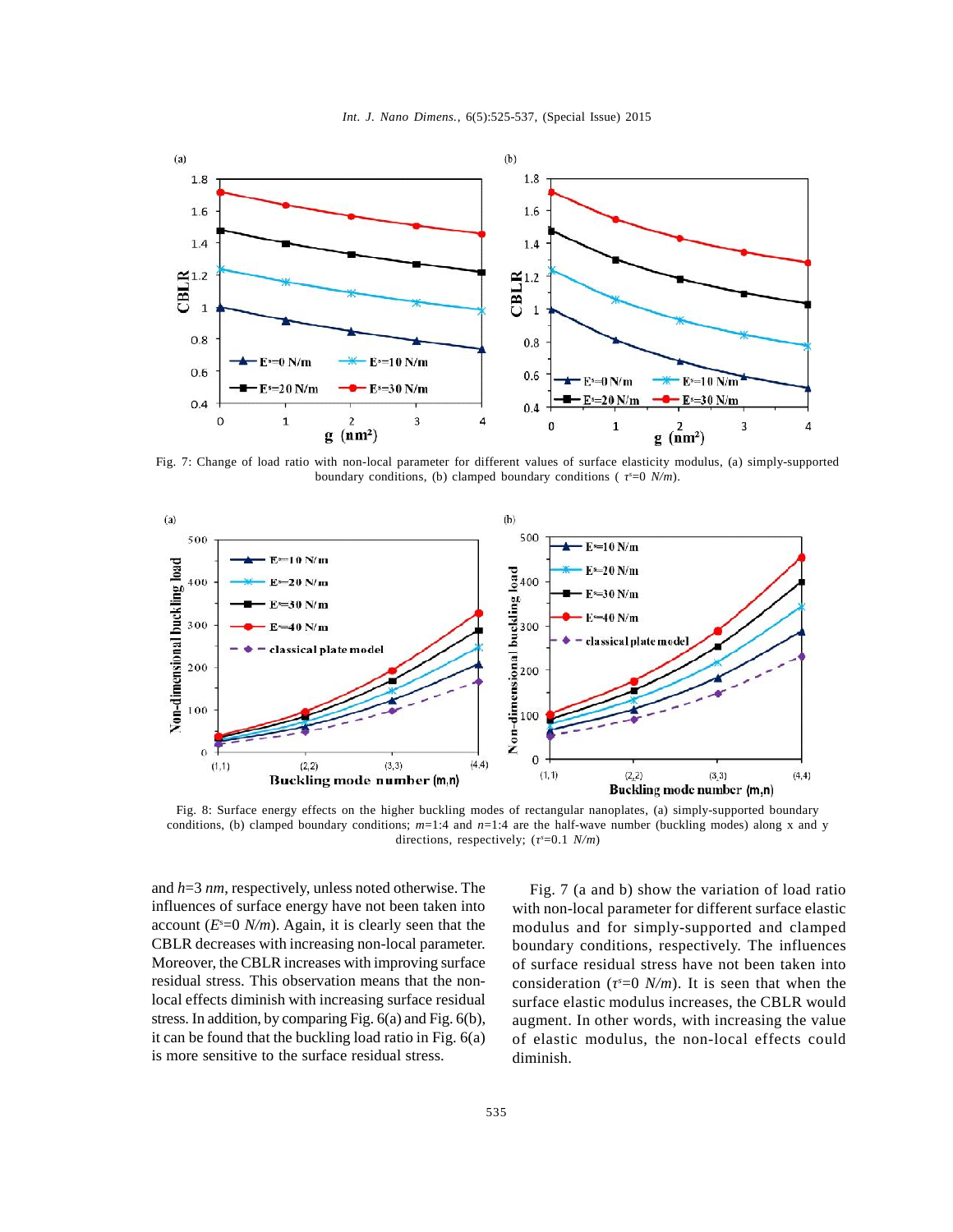



Fig. 7: Change of load ratio with non-local parameter for different values of surface elasticity modulus, (a) simply-supported boundary conditions, (b) clamped boundary conditions ( *τ <sup>s</sup>*=0 *N/m*).



Fig. 8: Surface energy effects on the higher buckling modes of rectangular nanoplates, (a) simply-supported boundary conditions, (b) clamped boundary conditions; *m*=1:4 and *n*=1:4 are the half-wave number (buckling modes) along x and y directions, respectively; ( $\degree$ =0.1 *N/m*)

and *h*=3 *nm*, respectively, unless noted otherwise. The influences of surface energy have not been taken into account  $(E^*=0 \text{ N/m})$ . Again, it is clearly seen that the mod CBLR decreases with increasing non-local parameter. Moreover, the CBLR increases with improving surface residual stress. This observation means that the nonlocal effects diminish with increasing surface residual stress. In addition, by comparing Fig. 6(a) and Fig. 6(b), it can be found that the buckling load ratio in Fig. 6(a) is more sensitive to the surface residual stress.

Fig. 7 (a and b) show the variation of load ratio with non-local parameter for different surface elastic modulus and for simply-supported and clamped boundary conditions, respectively. The influences of surface residual stress have not been taken into consideration ( $\epsilon = 0$  *N/m*). It is seen that when the surface elastic modulus increases, the CBLR would augment. In other words, with increasing the value of elastic modulus, the non-local effects could diminish.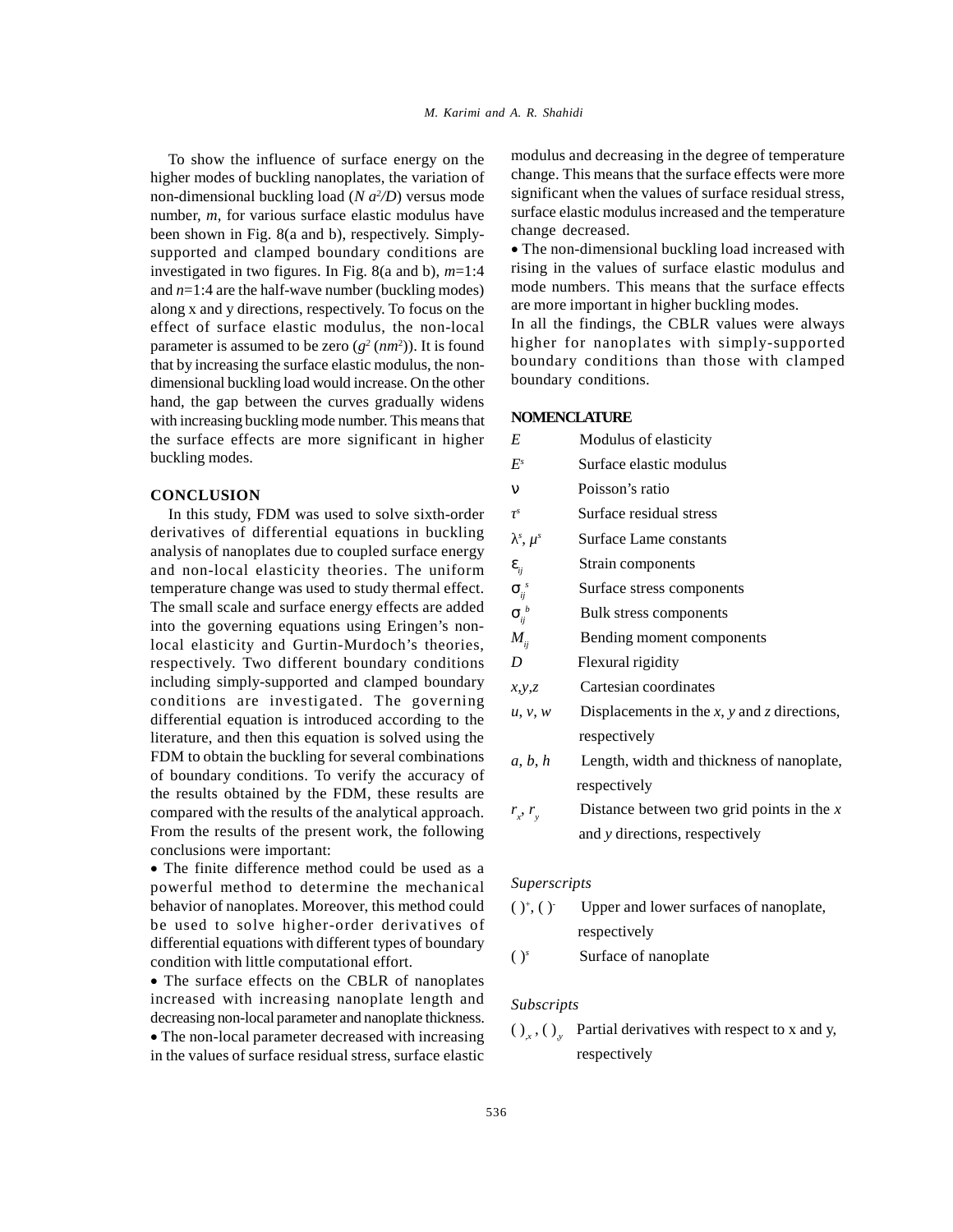To show the influence of surface energy on the higher modes of buckling nanoplates, the variation of non-dimensional buckling load (*N a<sup>2</sup>/D*) versus mode sign number, *m*, for various surface elastic modulus have been shown in Fig. 8(a and b), respectively. Simplysupported and clamped boundary conditions are investigated in two figures. In Fig. 8(a and b), *m*=1:4 and *n*=1:4 are the half-wave number (buckling modes) along x and y directions, respectively. To focus on the effect of surface elastic modulus, the non-local parameter is assumed to be zero  $(g^2(nm^2))$ . It is found high that by increasing the surface elastic modulus, the nondimensional buckling load would increase. On the other hand, the gap between the curves gradually widens with increasing buckling mode number. This means that the surface effects are more significant in higher buckling modes.

## **CONCLUSION**

In this study, FDM was used to solve sixth-order derivatives of differential equations in buckling analysis of nanoplates due to coupled surface energy and non-local elasticity theories. The uniform temperature change was used to study thermal effect. The small scale and surface energy effects are added into the governing equations using Eringen's nonlocal elasticity and Gurtin-Murdoch's theories, respectively. Two different boundary conditions including simply-supported and clamped boundary conditions are investigated. The governing differential equation is introduced according to the literature, and then this equation is solved using the FDM to obtain the buckling for several combinations of boundary conditions. To verify the accuracy of the results obtained by the FDM, these results are compared with the results of the analytical approach. From the results of the present work, the following conclusions were important:

The finite difference method could be used as a powerful method to determine the mechanical behavior of nanoplates. Moreover, this method could be used to solve higher-order derivatives of differential equations with different types of boundary<br>condition with little computational effort  $(y^s)$ condition with little computational effort.

The surface effects on the CBLR of nanoplates increased with increasing nanoplate length and decreasing non-local parameter and nanoplate thickness. The non-local parameter decreased with increasing in the values of surface residual stress, surface elastic modulus and decreasing in the degree of temperature change. This means that the surface effects were more significant when the values of surface residual stress, surface elastic modulus increased and the temperature change decreased.

The non-dimensional buckling load increased with rising in the values of surface elastic modulus and mode numbers. This means that the surface effects are more important in higher buckling modes.

In all the findings, the CBLR values were always higher for nanoplates with simply-supported boundary conditions than those with clamped boundary conditions.

#### **NOMENCLATURE**

| Modulus of elasticity                       |
|---------------------------------------------|
| Surface elastic modulus                     |
| Poisson's ratio                             |
| Surface residual stress                     |
| Surface Lame constants                      |
| Strain components                           |
| Surface stress components                   |
| Bulk stress components                      |
| Bending moment components                   |
| Flexural rigidity                           |
| Cartesian coordinates                       |
| Displacements in the x, y and z directions, |
| respectively                                |
| Length, width and thickness of nanoplate,   |
| respectively                                |
| Distance between two grid points in the $x$ |
| and y directions, respectively              |
|                                             |

## *Superscripts*

| $()^*, ()^-$ | Upper and lower surfaces of nanoplate, |  |
|--------------|----------------------------------------|--|
|              | respectively                           |  |

Surface of nanoplate

#### *Subscripts*

 $\left( \right)_{x}$ ,  $\left( \right)_{y}$  Partial derivatives with respect to x and y, respectively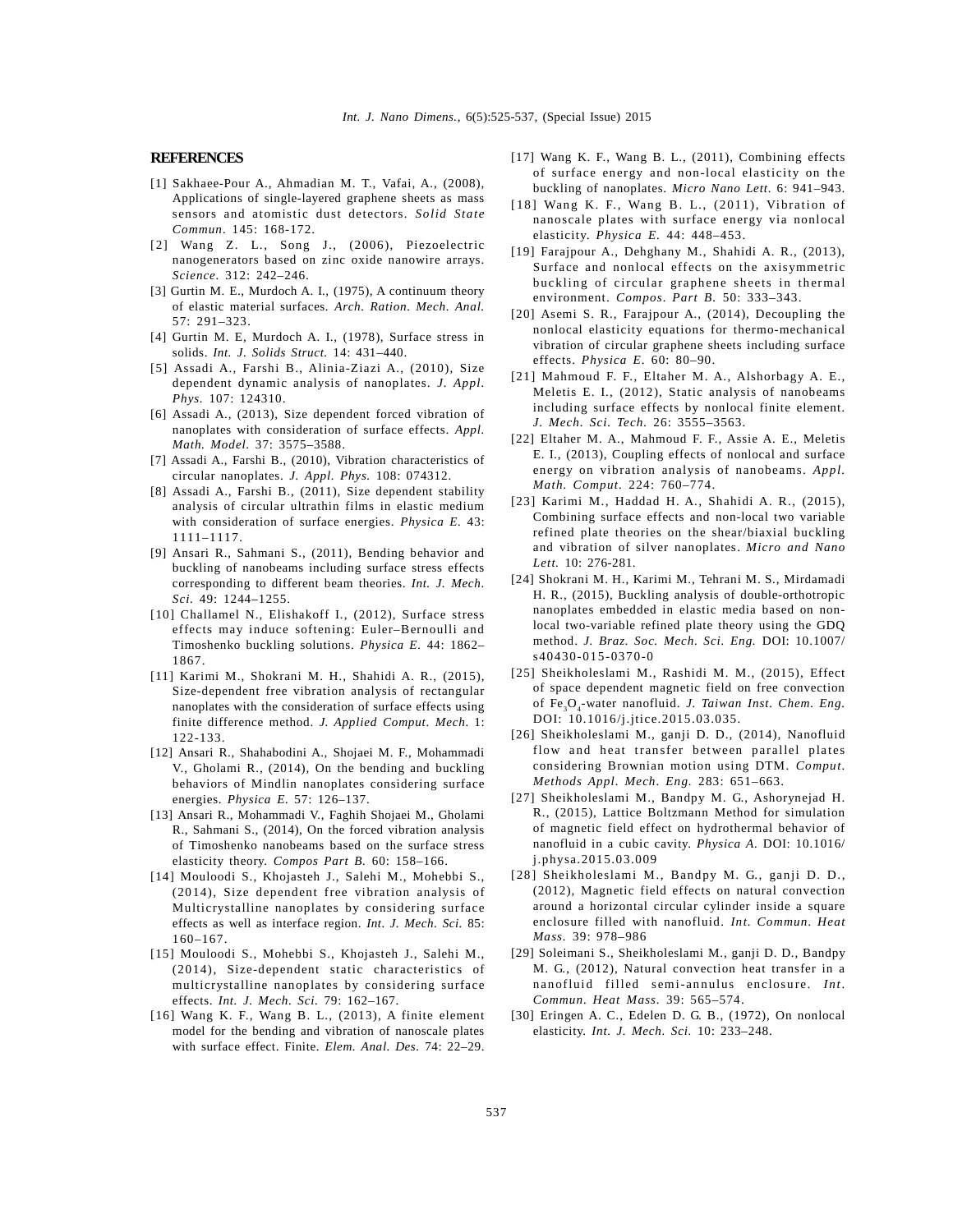#### **REFERENCES**

- [1] Sakhaee-Pour A., Ahmadian M. T., Vafai, A., (2008), Applications of single-layered graphene sheets as mass sensors and atomistic dust detectors. *Solid State Commun.* 145: 168-172.
- [2] Wang Z. L., Song J., (2006), Piezoelectric nanogenerators based on zinc oxide nanowire arrays. *Science.* 312: 242–246.
- [3] Gurtin M. E., Murdoch A. I., (1975), A continuum theory of elastic material surfaces. *Arch. Ration. Mech. Anal.*  $57 \cdot 291 - 323$
- [4] Gurtin M. E, Murdoch A. I., (1978), Surface stress in solids. *Int. J. Solids Struct.* 14: 431–440.
- [5] Assadi A., Farshi B., Alinia-Ziazi A., (2010), Size dependent dynamic analysis of nanoplates. *J. Appl. Phys.* 107: 124310.
- [6] Assadi A., (2013), Size dependent forced vibration of nanoplates with consideration of surface effects. *Appl. Math. Model.* 37: 3575–3588.
- [7] Assadi A., Farshi B., (2010), Vibration characteristics of circular nanoplates. *J. Appl. Phys.* 108: 074312.
- [8] Assadi A., Farshi B., (2011), Size dependent stability analysis of circular ultrathin films in elastic medium with consideration of surface energies. *Physica E.* 43: 1111–1117.
- [9] Ansari R., Sahmani S., (2011), Bending behavior and buckling of nanobeams including surface stress effects corresponding to different beam theories. *Int. J. Mech. Sci.* 49: 1244–1255.
- [10] Challamel N., Elishakoff I., (2012), Surface stress effects may induce softening: Euler–Bernoulli and Timoshenko buckling solutions. *Physica E.* 44: 1862– 1867.
- [11] Karimi M., Shokrani M. H., Shahidi A. R., (2015), Size-dependent free vibration analysis of rectangular nanoplates with the consideration of surface effects using finite difference method. *J. Applied Comput. Mech.* 1: 122-133.
- [12] Ansari R., Shahabodini A., Shojaei M. F., Mohammadi V., Gholami R., (2014), On the bending and buckling behaviors of Mindlin nanoplates considering surface energies. *Physica E.* 57: 126–137.
- [13] Ansari R., Mohammadi V., Faghih Shojaei M., Gholami R., Sahmani S., (2014), On the forced vibration analysis of Timoshenko nanobeams based on the surface stress elasticity theory. *Compos Part B.* 60: 158–166.
- [14] Mouloodi S., Khojasteh J., Salehi M., Mohebbi S., (2014), Size dependent free vibration analysis of Multicrystalline nanoplates by considering surface effects as well as interface region. *Int. J. Mech. Sci.* 85: 160–167.
- [15] Mouloodi S., Mohebbi S., Khojasteh J., Salehi M., (2014), Size-dependent static characteristics of multicrystalline nanoplates by considering surface effects. *Int. J. Mech. Sci.* 79: 162–167.
- [16] Wang K. F., Wang B. L., (2013), A finite element model for the bending and vibration of nanoscale plates with surface effect. Finite. *Elem. Anal. Des.* 74: 22–29.
- [17] Wang K. F., Wang B. L., (2011), Combining effects of surface energy and non-local elasticity on the buckling of nanoplates. *Micro Nano Lett.* 6: 941–943.
- [18] Wang K. F., Wang B. L., (2011), Vibration of nanoscale plates with surface energy via nonlocal elasticity. *Physica E.* 44: 448–453.
- [19] Farajpour A., Dehghany M., Shahidi A. R., (2013), Surface and nonlocal effects on the axisymmetric buckling of circular graphene sheets in thermal environment. *Compos. Part B.* 50: 333–343.
- [20] Asemi S. R., Farajpour A., (2014), Decoupling the nonlocal elasticity equations for thermo-mechanical vibration of circular graphene sheets including surface effects. *Physica E.* 60: 80–90.
- [21] Mahmoud F. F., Eltaher M. A., Alshorbagy A. E., Meletis E. I., (2012), Static analysis of nanobeams including surface effects by nonlocal finite element. *J. Mech. Sci. Tech.* 26: 3555–3563.
- [22] Eltaher M. A., Mahmoud F. F., Assie A. E., Meletis E. I., (2013), Coupling effects of nonlocal and surface energy on vibration analysis of nanobeams. *Appl. Math. Comput.* 224: 760–774.
- [23] Karimi M., Haddad H. A., Shahidi A. R., (2015), Combining surface effects and non-local two variable refined plate theories on the shear/biaxial buckling and vibration of silver nanoplates. *Micro and Nano Lett.* 10: 276-281.
- [24] Shokrani M. H., Karimi M., Tehrani M. S., Mirdamadi H. R., (2015), Buckling analysis of double-orthotropic nanoplates embedded in elastic media based on nonlocal two-variable refined plate theory using the GDQ method. *J. Braz. Soc. Mech. Sci. Eng.* DOI: 10.1007/ s40430-015-0370-0
- [25] Sheikholeslami M., Rashidi M. M., (2015), Effect of space dependent magnetic field on free convection of Fe<sub>3</sub>O<sub>4</sub>-water nanofluid. *J. Taiwan Inst. Chem. Eng.* DOI: 10.1016/j.jtice.2015.03.035.
- [26] Sheikholeslami M., ganji D. D., (2014), Nanofluid flow and heat transfer between parallel plates considering Brownian motion using DTM. *Comput. Methods Appl. Mech. Eng.* 283: 651–663.
- [27] Sheikholeslami M., Bandpy M. G., Ashorynejad H. R., (2015), Lattice Boltzmann Method for simulation of magnetic field effect on hydrothermal behavior of nanofluid in a cubic cavity. *Physica A.* DOI: 10.1016/ j.physa.2015.03.009
- [28] Sheikholeslami M., Bandpy M. G., ganji D. D., (2012), Magnetic field effects on natural convection around a horizontal circular cylinder inside a square *Mass.* 39: 978–986
- enclosure filled with nanofluid. *Int. Commun. Heat*<br> *Mass.* 39: 978–986<br>
Soleimani S., Sheikholeslami M., ganji D. D., Bandpy<br>
M. G., (2012), Natural convection heat transfer in a<br>
nanofluid filled semi-annulus enclosur [29] Soleimani S., Sheikholeslami M., ganji D. D., Bandpy M. G., (2012), Natural convection heat transfer in a
- [30] Eringen A. C., Edelen D. G. B., (1972), On nonlocal elasticity. *Int. J. Mech. Sci.* 10: 233–248.